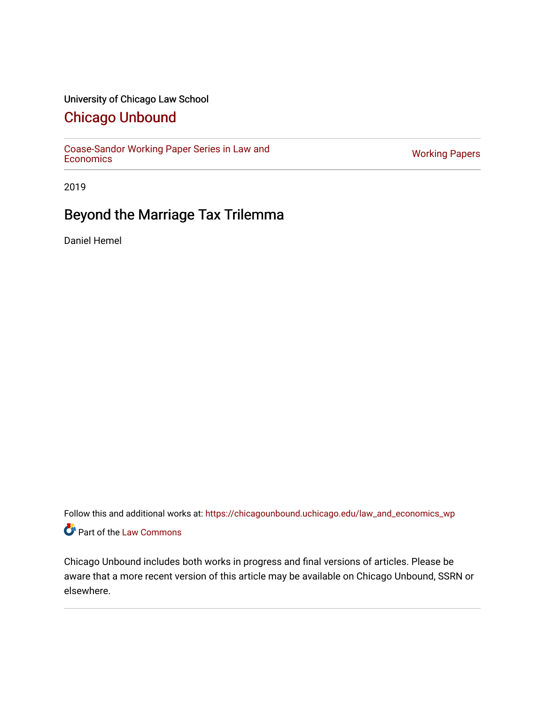# University of Chicago Law School

# [Chicago Unbound](https://chicagounbound.uchicago.edu/)

[Coase-Sandor Working Paper Series in Law and](https://chicagounbound.uchicago.edu/law_and_economics_wp) [Economics](https://chicagounbound.uchicago.edu/law_and_economics_wp) [Working Papers](https://chicagounbound.uchicago.edu/working_papers) 

2019

# Beyond the Marriage Tax Trilemma

Daniel Hemel

Follow this and additional works at: [https://chicagounbound.uchicago.edu/law\\_and\\_economics\\_wp](https://chicagounbound.uchicago.edu/law_and_economics_wp?utm_source=chicagounbound.uchicago.edu%2Flaw_and_economics_wp%2F57&utm_medium=PDF&utm_campaign=PDFCoverPages)  Part of the [Law Commons](http://network.bepress.com/hgg/discipline/578?utm_source=chicagounbound.uchicago.edu%2Flaw_and_economics_wp%2F57&utm_medium=PDF&utm_campaign=PDFCoverPages)

Chicago Unbound includes both works in progress and final versions of articles. Please be aware that a more recent version of this article may be available on Chicago Unbound, SSRN or elsewhere.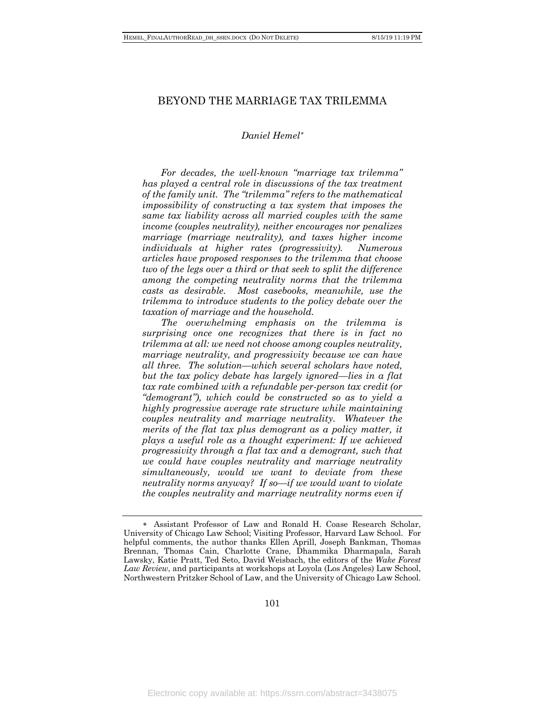### BEYOND THE MARRIAGE TAX TRILEMMA

#### *Daniel Hemel*\*

*For decades, the well-known "marriage tax trilemma" has played a central role in discussions of the tax treatment of the family unit. The "trilemma" refers to the mathematical impossibility of constructing a tax system that imposes the same tax liability across all married couples with the same income (couples neutrality), neither encourages nor penalizes marriage (marriage neutrality), and taxes higher income individuals at higher rates (progressivity). Numerous articles have proposed responses to the trilemma that choose two of the legs over a third or that seek to split the difference among the competing neutrality norms that the trilemma casts as desirable. Most casebooks, meanwhile, use the trilemma to introduce students to the policy debate over the taxation of marriage and the household.*

*The overwhelming emphasis on the trilemma is surprising once one recognizes that there is in fact no trilemma at all: we need not choose among couples neutrality, marriage neutrality, and progressivity because we can have all three. The solution—which several scholars have noted, but the tax policy debate has largely ignored—lies in a flat tax rate combined with a refundable per-person tax credit (or "demogrant"), which could be constructed so as to yield a highly progressive average rate structure while maintaining couples neutrality and marriage neutrality. Whatever the merits of the flat tax plus demogrant as a policy matter, it plays a useful role as a thought experiment: If we achieved progressivity through a flat tax and a demogrant, such that we could have couples neutrality and marriage neutrality simultaneously, would we want to deviate from these neutrality norms anyway? If so—if we would want to violate the couples neutrality and marriage neutrality norms even if* 

101

<sup>\*</sup> Assistant Professor of Law and Ronald H. Coase Research Scholar, University of Chicago Law School; Visiting Professor, Harvard Law School. For helpful comments, the author thanks Ellen Aprill, Joseph Bankman, Thomas Brennan, Thomas Cain, Charlotte Crane, Dhammika Dharmapala, Sarah Lawsky, Katie Pratt, Ted Seto, David Weisbach, the editors of the *Wake Forest Law Review*, and participants at workshops at Loyola (Los Angeles) Law School, Northwestern Pritzker School of Law, and the University of Chicago Law School.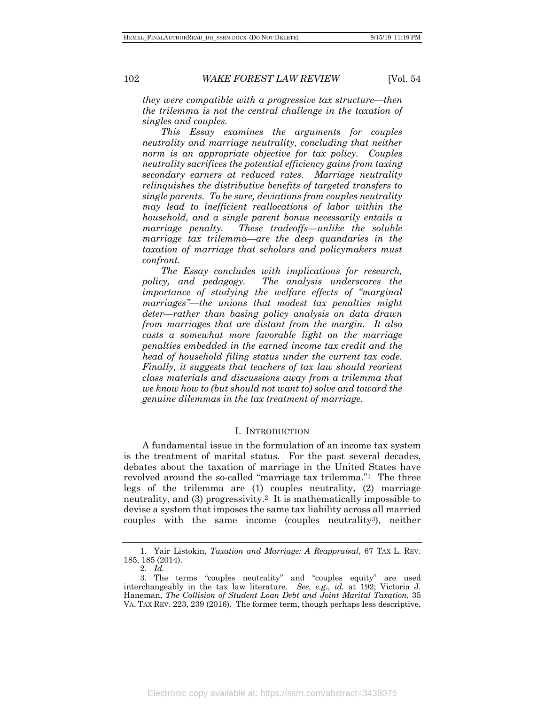*they were compatible with a progressive tax structure—then the trilemma is not the central challenge in the taxation of singles and couples.*

*This Essay examines the arguments for couples neutrality and marriage neutrality, concluding that neither norm is an appropriate objective for tax policy. Couples neutrality sacrifices the potential efficiency gains from taxing secondary earners at reduced rates. Marriage neutrality relinquishes the distributive benefits of targeted transfers to single parents. To be sure, deviations from couples neutrality may lead to inefficient reallocations of labor within the household, and a single parent bonus necessarily entails a marriage penalty. These tradeoffs—unlike the soluble marriage tax trilemma—are the deep quandaries in the taxation of marriage that scholars and policymakers must confront.*

*The Essay concludes with implications for research, policy, and pedagogy. The analysis underscores the importance of studying the welfare effects of "marginal marriages"—the unions that modest tax penalties might deter—rather than basing policy analysis on data drawn from marriages that are distant from the margin. It also casts a somewhat more favorable light on the marriage penalties embedded in the earned income tax credit and the head of household filing status under the current tax code. Finally, it suggests that teachers of tax law should reorient class materials and discussions away from a trilemma that we know how to (but should not want to) solve and toward the genuine dilemmas in the tax treatment of marriage.*

#### I. INTRODUCTION

A fundamental issue in the formulation of an income tax system is the treatment of marital status. For the past several decades, debates about the taxation of marriage in the United States have revolved around the so-called "marriage tax trilemma."1 The three legs of the trilemma are (1) couples neutrality, (2) marriage neutrality, and (3) progressivity.2 It is mathematically impossible to devise a system that imposes the same tax liability across all married couples with the same income (couples neutrality3), neither

<sup>1.</sup> Yair Listokin, *Taxation and Marriage: A Reappraisal*, 67 TAX L. REV. 185, 185 (2014).

<sup>2.</sup> *Id.*

<sup>3.</sup> The terms "couples neutrality" and "couples equity" are used interchangeably in the tax law literature. *See, e.g.*, *id.* at 192; Victoria J. Haneman, *The Collision of Student Loan Debt and Joint Marital Taxation*, 35 VA. TAX REV. 223, 239 (2016). The former term, though perhaps less descriptive,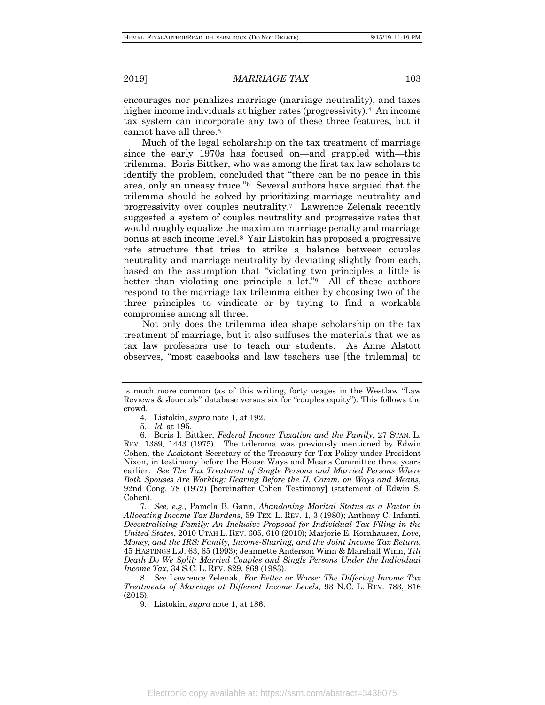encourages nor penalizes marriage (marriage neutrality), and taxes higher income individuals at higher rates (progressivity).<sup>4</sup> An income tax system can incorporate any two of these three features, but it cannot have all three.5

Much of the legal scholarship on the tax treatment of marriage since the early 1970s has focused on—and grappled with—this trilemma. Boris Bittker, who was among the first tax law scholars to identify the problem, concluded that "there can be no peace in this area, only an uneasy truce."6 Several authors have argued that the trilemma should be solved by prioritizing marriage neutrality and progressivity over couples neutrality.7 Lawrence Zelenak recently suggested a system of couples neutrality and progressive rates that would roughly equalize the maximum marriage penalty and marriage bonus at each income level.8 Yair Listokin has proposed a progressive rate structure that tries to strike a balance between couples neutrality and marriage neutrality by deviating slightly from each, based on the assumption that "violating two principles a little is better than violating one principle a lot."9 All of these authors respond to the marriage tax trilemma either by choosing two of the three principles to vindicate or by trying to find a workable compromise among all three.

Not only does the trilemma idea shape scholarship on the tax treatment of marriage, but it also suffuses the materials that we as tax law professors use to teach our students. As Anne Alstott observes, "most casebooks and law teachers use [the trilemma] to

8. *See* Lawrence Zelenak, *For Better or Worse: The Differing Income Tax Treatments of Marriage at Different Income Levels*, 93 N.C. L. REV. 783, 816 (2015).

9. Listokin, *supra* note 1, at 186.

is much more common (as of this writing, forty usages in the Westlaw "Law Reviews & Journals" database versus six for "couples equity"). This follows the crowd.

<sup>4.</sup> Listokin, *supra* note 1, at 192.

<sup>5.</sup> *Id.* at 195.

<sup>6.</sup> Boris I. Bittker, *Federal Income Taxation and the Family*, 27 STAN. L. REV. 1389, 1443 (1975). The trilemma was previously mentioned by Edwin Cohen, the Assistant Secretary of the Treasury for Tax Policy under President Nixon, in testimony before the House Ways and Means Committee three years earlier. *See The Tax Treatment of Single Persons and Married Persons Where Both Spouses Are Working: Hearing Before the H. Comm. on Ways and Means*, 92nd Cong. 78 (1972) [hereinafter Cohen Testimony] (statement of Edwin S. Cohen).

<sup>7.</sup> *See, e.g.*, Pamela B. Gann, *Abandoning Marital Status as a Factor in Allocating Income Tax Burdens*, 59 TEX. L. REV. 1, 3 (1980); Anthony C. Infanti, *Decentralizing Family: An Inclusive Proposal for Individual Tax Filing in the United States*, 2010 UTAH L. REV. 605, 610 (2010); Marjorie E. Kornhauser, *Love, Money, and the IRS: Family, Income-Sharing, and the Joint Income Tax Return*, 45 HASTINGS L.J. 63, 65 (1993); Jeannette Anderson Winn & Marshall Winn, *Till Death Do We Split: Married Couples and Single Persons Under the Individual Income Tax*, 34 S.C. L. REV. 829, 869 (1983).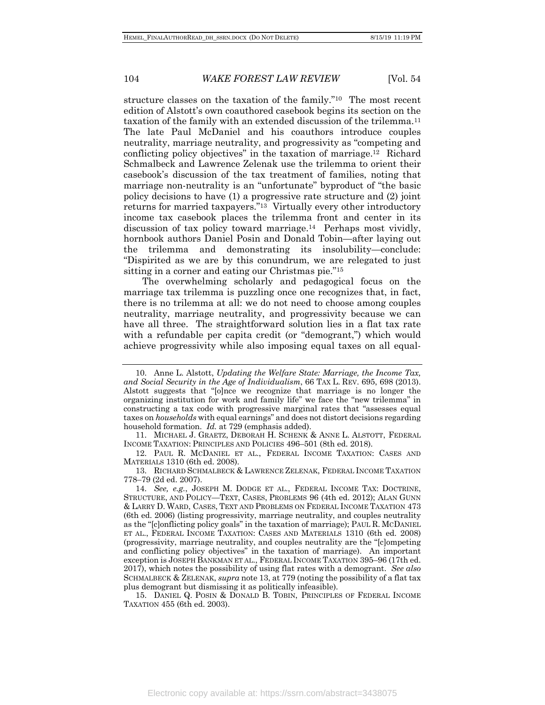structure classes on the taxation of the family."10 The most recent edition of Alstott's own coauthored casebook begins its section on the taxation of the family with an extended discussion of the trilemma.11 The late Paul McDaniel and his coauthors introduce couples neutrality, marriage neutrality, and progressivity as "competing and conflicting policy objectives" in the taxation of marriage.12 Richard Schmalbeck and Lawrence Zelenak use the trilemma to orient their casebook's discussion of the tax treatment of families, noting that marriage non-neutrality is an "unfortunate" byproduct of "the basic policy decisions to have (1) a progressive rate structure and (2) joint returns for married taxpayers."13 Virtually every other introductory income tax casebook places the trilemma front and center in its discussion of tax policy toward marriage.14 Perhaps most vividly, hornbook authors Daniel Posin and Donald Tobin—after laying out the trilemma and demonstrating its insolubility—conclude: "Dispirited as we are by this conundrum, we are relegated to just sitting in a corner and eating our Christmas pie."15

The overwhelming scholarly and pedagogical focus on the marriage tax trilemma is puzzling once one recognizes that, in fact, there is no trilemma at all: we do not need to choose among couples neutrality, marriage neutrality, and progressivity because we can have all three. The straightforward solution lies in a flat tax rate with a refundable per capita credit (or "demogrant,") which would achieve progressivity while also imposing equal taxes on all equal-

<sup>10.</sup> Anne L. Alstott, *Updating the Welfare State: Marriage, the Income Tax, and Social Security in the Age of Individualism*, 66 TAX L. REV. 695, 698 (2013). Alstott suggests that "[o]nce we recognize that marriage is no longer the organizing institution for work and family life" we face the "new trilemma" in constructing a tax code with progressive marginal rates that "assesses equal taxes on *households* with equal earnings" and does not distort decisions regarding household formation. *Id.* at 729 (emphasis added).

<sup>11.</sup> MICHAEL J. GRAETZ, DEBORAH H. SCHENK & ANNE L. ALSTOTT, FEDERAL INCOME TAXATION: PRINCIPLES AND POLICIES 496–501 (8th ed. 2018).

<sup>12.</sup> PAUL R. MCDANIEL ET AL., FEDERAL INCOME TAXATION: CASES AND MATERIALS 1310 (6th ed. 2008).

<sup>13.</sup> RICHARD SCHMALBECK & LAWRENCE ZELENAK, FEDERAL INCOME TAXATION 778–79 (2d ed. 2007).

<sup>14.</sup> *See, e.g.*, JOSEPH M. DODGE ET AL., FEDERAL INCOME TAX: DOCTRINE, STRUCTURE, AND POLICY—TEXT, CASES, PROBLEMS 96 (4th ed. 2012); ALAN GUNN & LARRY D. WARD, CASES, TEXT AND PROBLEMS ON FEDERAL INCOME TAXATION 473 (6th ed. 2006) (listing progressivity, marriage neutrality, and couples neutrality as the "[c]onflicting policy goals" in the taxation of marriage); PAUL R. MCDANIEL ET AL., FEDERAL INCOME TAXATION: CASES AND MATERIALS 1310 (6th ed. 2008) (progressivity, marriage neutrality, and couples neutrality are the "[c]ompeting and conflicting policy objectives" in the taxation of marriage). An important exception is JOSEPH BANKMAN ET AL., FEDERAL INCOME TAXATION 395–96 (17th ed. 2017), which notes the possibility of using flat rates with a demogrant. *See also* SCHMALBECK & ZELENAK, *supra* note 13, at 779 (noting the possibility of a flat tax plus demogrant but dismissing it as politically infeasible).

<sup>15.</sup> DANIEL Q. POSIN & DONALD B. TOBIN, PRINCIPLES OF FEDERAL INCOME TAXATION 455 (6th ed. 2003).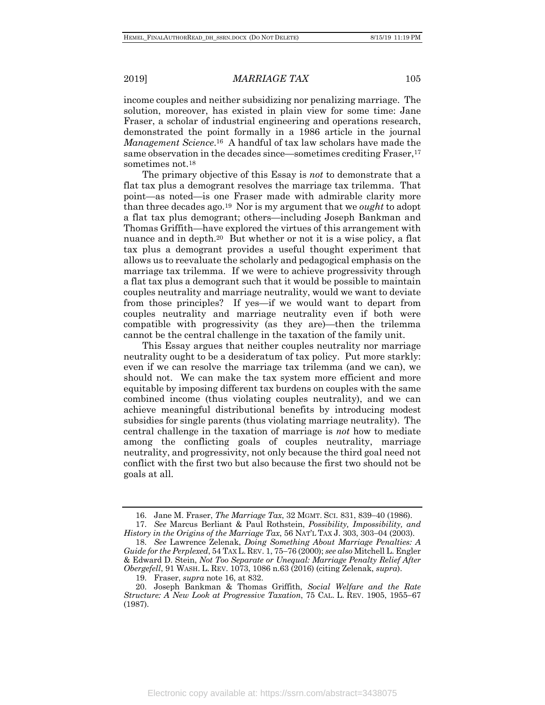income couples and neither subsidizing nor penalizing marriage. The solution, moreover, has existed in plain view for some time: Jane Fraser, a scholar of industrial engineering and operations research, demonstrated the point formally in a 1986 article in the journal *Management Science*.16 A handful of tax law scholars have made the same observation in the decades since—sometimes crediting Fraser,<sup>17</sup> sometimes not.18

The primary objective of this Essay is *not* to demonstrate that a flat tax plus a demogrant resolves the marriage tax trilemma. That point—as noted—is one Fraser made with admirable clarity more than three decades ago.19 Nor is my argument that we *ought* to adopt a flat tax plus demogrant; others—including Joseph Bankman and Thomas Griffith—have explored the virtues of this arrangement with nuance and in depth.<sup>20</sup> But whether or not it is a wise policy, a flat tax plus a demogrant provides a useful thought experiment that allows us to reevaluate the scholarly and pedagogical emphasis on the marriage tax trilemma. If we were to achieve progressivity through a flat tax plus a demogrant such that it would be possible to maintain couples neutrality and marriage neutrality, would we want to deviate from those principles? If yes—if we would want to depart from couples neutrality and marriage neutrality even if both were compatible with progressivity (as they are)—then the trilemma cannot be the central challenge in the taxation of the family unit.

This Essay argues that neither couples neutrality nor marriage neutrality ought to be a desideratum of tax policy. Put more starkly: even if we can resolve the marriage tax trilemma (and we can), we should not. We can make the tax system more efficient and more equitable by imposing different tax burdens on couples with the same combined income (thus violating couples neutrality), and we can achieve meaningful distributional benefits by introducing modest subsidies for single parents (thus violating marriage neutrality). The central challenge in the taxation of marriage is *not* how to mediate among the conflicting goals of couples neutrality, marriage neutrality, and progressivity, not only because the third goal need not conflict with the first two but also because the first two should not be goals at all.

<sup>16.</sup> Jane M. Fraser, *The Marriage Tax*, 32 MGMT. SCI. 831, 839-40 (1986).

<sup>17.</sup> *See* Marcus Berliant & Paul Rothstein, *Possibility, Impossibility, and History in the Origins of the Marriage Tax*, 56 NAT'L TAX J. 303, 303-04 (2003).

<sup>18.</sup> *See* Lawrence Zelenak, *Doing Something About Marriage Penalties: A Guide for the Perplexed*, 54 TAX L. REV. 1, 75-76 (2000); *see also* Mitchell L. Engler & Edward D. Stein, *Not Too Separate or Unequal: Marriage Penalty Relief After Obergefell*, 91 WASH. L. REV. 1073, 1086 n.63 (2016) (citing Zelenak, *supra*).

<sup>19.</sup> Fraser, *supra* note 16, at 832.

<sup>20.</sup> Joseph Bankman & Thomas Griffith, *Social Welfare and the Rate Structure: A New Look at Progressive Taxation*, 75 CAL. L. REV. 1905, 1955-67 (1987).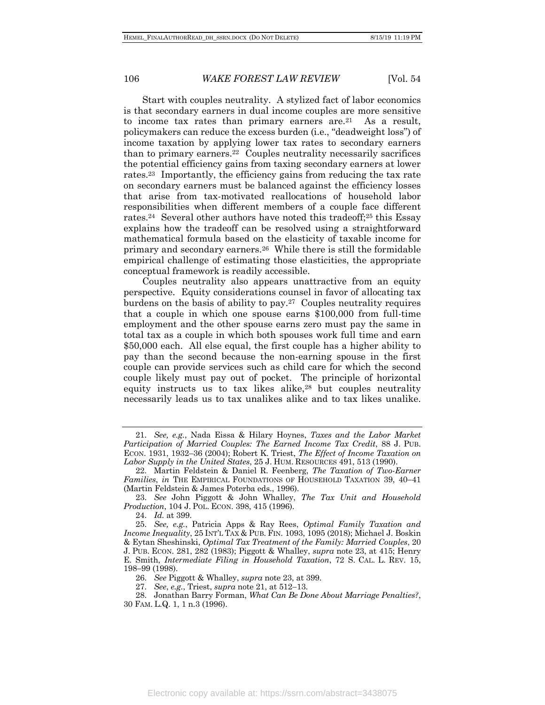Start with couples neutrality. A stylized fact of labor economics is that secondary earners in dual income couples are more sensitive to income tax rates than primary earners are.21 As a result, policymakers can reduce the excess burden (i.e., "deadweight loss") of income taxation by applying lower tax rates to secondary earners than to primary earners.22 Couples neutrality necessarily sacrifices the potential efficiency gains from taxing secondary earners at lower rates.23 Importantly, the efficiency gains from reducing the tax rate on secondary earners must be balanced against the efficiency losses that arise from tax-motivated reallocations of household labor responsibilities when different members of a couple face different rates.24 Several other authors have noted this tradeoff;25 this Essay explains how the tradeoff can be resolved using a straightforward mathematical formula based on the elasticity of taxable income for primary and secondary earners.26 While there is still the formidable empirical challenge of estimating those elasticities, the appropriate conceptual framework is readily accessible.

Couples neutrality also appears unattractive from an equity perspective. Equity considerations counsel in favor of allocating tax burdens on the basis of ability to pay.27 Couples neutrality requires that a couple in which one spouse earns \$100,000 from full-time employment and the other spouse earns zero must pay the same in total tax as a couple in which both spouses work full time and earn \$50,000 each. All else equal, the first couple has a higher ability to pay than the second because the non-earning spouse in the first couple can provide services such as child care for which the second couple likely must pay out of pocket. The principle of horizontal equity instructs us to tax likes alike,28 but couples neutrality necessarily leads us to tax unalikes alike and to tax likes unalike.

24. *Id.* at 399.

<sup>21.</sup> *See, e.g.*, Nada Eissa & Hilary Hoynes, *Taxes and the Labor Market Participation of Married Couples: The Earned Income Tax Credit*, 88 J. PUB. ECON. 1931, 1932–36 (2004); Robert K. Triest, *The Effect of Income Taxation on Labor Supply in the United States*, 25 J. HUM. RESOURCES 491, 513 (1990).

<sup>22.</sup> Martin Feldstein & Daniel R. Feenberg, *The Taxation of Two-Earner Families*, *in* THE EMPIRICAL FOUNDATIONS OF HOUSEHOLD TAXATION 39, 40-41 (Martin Feldstein & James Poterba eds., 1996).

<sup>23.</sup> *See* John Piggott & John Whalley, *The Tax Unit and Household Production*, 104 J. POL. ECON. 398, 415 (1996).

<sup>25.</sup> *See, e.g.*, Patricia Apps & Ray Rees, *Optimal Family Taxation and Income Inequality*, 25 INT'L TAX & PUB. FIN. 1093, 1095 (2018); Michael J. Boskin & Eytan Sheshinski, *Optimal Tax Treatment of the Family: Married Couples*, 20 J. PUB. ECON. 281, 282 (1983); Piggott & Whalley, *supra* note 23, at 415; Henry E. Smith, *Intermediate Filing in Household Taxation*, 72 S. CAL. L. REV. 15, 198-99 (1998).

<sup>26.</sup> *See* Piggott & Whalley, *supra* note 23, at 399.

<sup>27.</sup> *See*, *e.g.*, Triest, *supra* note 21, at 512-13.

<sup>28.</sup> Jonathan Barry Forman, *What Can Be Done About Marriage Penalties?*, 30 FAM. L.Q. 1, 1 n.3 (1996).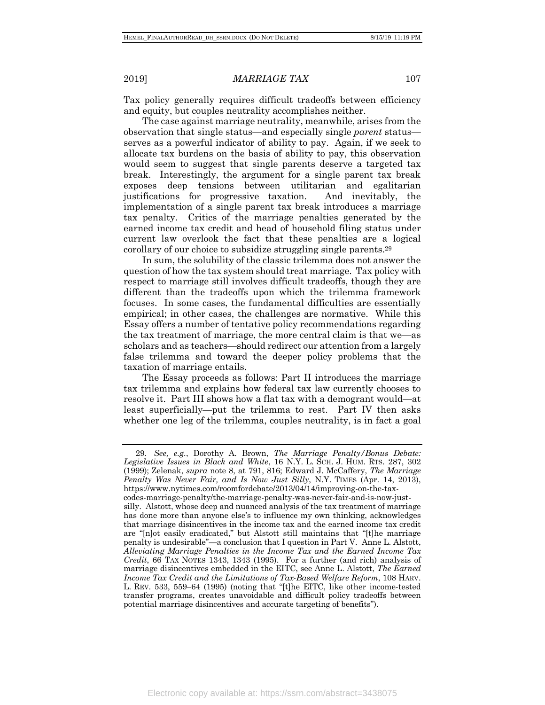Tax policy generally requires difficult tradeoffs between efficiency and equity, but couples neutrality accomplishes neither.

The case against marriage neutrality, meanwhile, arises from the observation that single status—and especially single *parent* status serves as a powerful indicator of ability to pay. Again, if we seek to allocate tax burdens on the basis of ability to pay, this observation would seem to suggest that single parents deserve a targeted tax break. Interestingly, the argument for a single parent tax break exposes deep tensions between utilitarian and egalitarian justifications for progressive taxation. And inevitably, the implementation of a single parent tax break introduces a marriage tax penalty. Critics of the marriage penalties generated by the earned income tax credit and head of household filing status under current law overlook the fact that these penalties are a logical corollary of our choice to subsidize struggling single parents.29

In sum, the solubility of the classic trilemma does not answer the question of how the tax system should treat marriage. Tax policy with respect to marriage still involves difficult tradeoffs, though they are different than the tradeoffs upon which the trilemma framework focuses. In some cases, the fundamental difficulties are essentially empirical; in other cases, the challenges are normative. While this Essay offers a number of tentative policy recommendations regarding the tax treatment of marriage, the more central claim is that we—as scholars and as teachers—should redirect our attention from a largely false trilemma and toward the deeper policy problems that the taxation of marriage entails.

The Essay proceeds as follows: Part II introduces the marriage tax trilemma and explains how federal tax law currently chooses to resolve it. Part III shows how a flat tax with a demogrant would—at least superficially—put the trilemma to rest. Part IV then asks whether one leg of the trilemma, couples neutrality, is in fact a goal

<sup>29.</sup> *See, e.g.*, Dorothy A. Brown, *The Marriage Penalty/Bonus Debate: Legislative Issues in Black and White*, 16 N.Y. L. SCH. J. HUM. RTS. 287, 302 (1999); Zelenak, *supra* note 8, at 791, 816; Edward J. McCaffery, *The Marriage Penalty Was Never Fair, and Is Now Just Silly*, N.Y. TIMES (Apr. 14, 2013), https://www.nytimes.com/roomfordebate/2013/04/14/improving-on-the-taxcodes-marriage-penalty/the-marriage-penalty-was-never-fair-and-is-now-justsilly. Alstott, whose deep and nuanced analysis of the tax treatment of marriage has done more than anyone else's to influence my own thinking, acknowledges that marriage disincentives in the income tax and the earned income tax credit are "[n]ot easily eradicated," but Alstott still maintains that "[t]he marriage penalty is undesirable"—a conclusion that I question in Part V. Anne L. Alstott, *Alleviating Marriage Penalties in the Income Tax and the Earned Income Tax Credit*, 66 TAX NOTES 1343, 1343 (1995). For a further (and rich) analysis of marriage disincentives embedded in the EITC, see Anne L. Alstott, *The Earned Income Tax Credit and the Limitations of Tax-Based Welfare Reform*, 108 HARV. L. REV. 533, 559-64 (1995) (noting that "[t]he EITC, like other income-tested transfer programs, creates unavoidable and difficult policy tradeoffs between potential marriage disincentives and accurate targeting of benefits").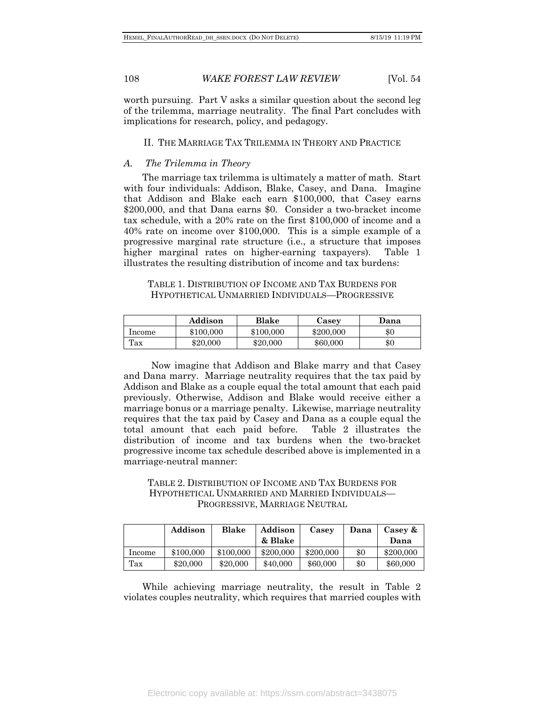worth pursuing. Part V asks a similar question about the second leg of the trilemma, marriage neutrality. The final Part concludes with implications for research, policy, and pedagogy.

#### II. THE MARRIAGE TAX TRILEMMA IN THEORY AND PRACTICE

#### *A. The Trilemma in Theory*

The marriage tax trilemma is ultimately a matter of math. Start with four individuals: Addison, Blake, Casey, and Dana. Imagine that Addison and Blake each earn \$100,000, that Casey earns \$200,000, and that Dana earns \$0. Consider a two-bracket income tax schedule, with a 20% rate on the first \$100,000 of income and a 40% rate on income over \$100,000. This is a simple example of a progressive marginal rate structure (i.e., a structure that imposes higher marginal rates on higher-earning taxpayers). Table 1 illustrates the resulting distribution of income and tax burdens:

### TABLE 1. DISTRIBUTION OF INCOME AND TAX BURDENS FOR HYPOTHETICAL UNMARRIED INDIVIDUALS—PROGRESSIVE

|        | Addison   | Blake     | Casey     | Dana  |
|--------|-----------|-----------|-----------|-------|
| Income | \$100,000 | \$100,000 | \$200,000 | $\$0$ |
| Tax    | \$20,000  | \$20,000  | \$60,000  | $\$0$ |

Now imagine that Addison and Blake marry and that Casey and Dana marry. Marriage neutrality requires that the tax paid by Addison and Blake as a couple equal the total amount that each paid previously. Otherwise, Addison and Blake would receive either a marriage bonus or a marriage penalty. Likewise, marriage neutrality requires that the tax paid by Casey and Dana as a couple equal the total amount that each paid before. Table 2 illustrates the distribution of income and tax burdens when the two-bracket progressive income tax schedule described above is implemented in a marriage-neutral manner:

TABLE 2. DISTRIBUTION OF INCOME AND TAX BURDENS FOR HYPOTHETICAL UNMARRIED AND MARRIED INDIVIDUALS— PROGRESSIVE, MARRIAGE NEUTRAL

|        | Addison   | Blake     | Addison<br>& Blake | Casey     | Dana | Casey &<br>Dana |
|--------|-----------|-----------|--------------------|-----------|------|-----------------|
| Income | \$100,000 | \$100,000 | \$200,000          | \$200,000 | \$0  | \$200,000       |
| Tax    | \$20,000  | \$20,000  | \$40,000           | \$60,000  | \$0  | \$60,000        |

While achieving marriage neutrality, the result in Table 2 violates couples neutrality, which requires that married couples with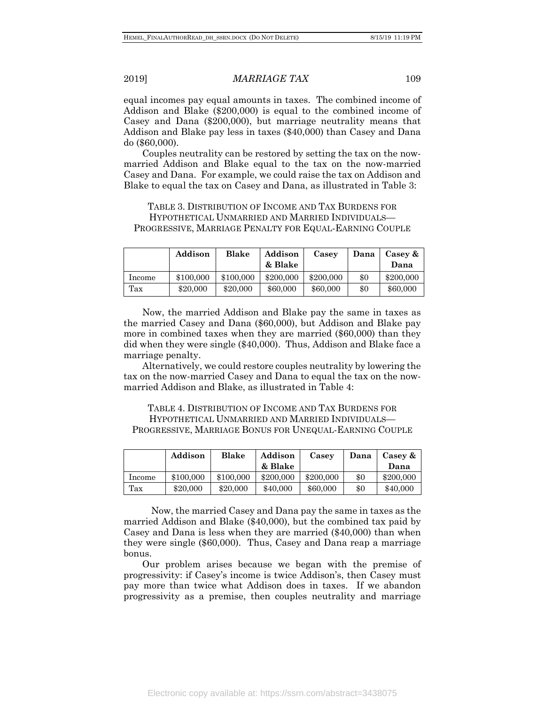equal incomes pay equal amounts in taxes. The combined income of Addison and Blake (\$200,000) is equal to the combined income of Casey and Dana (\$200,000), but marriage neutrality means that Addison and Blake pay less in taxes (\$40,000) than Casey and Dana do (\$60,000).

Couples neutrality can be restored by setting the tax on the nowmarried Addison and Blake equal to the tax on the now-married Casey and Dana. For example, we could raise the tax on Addison and Blake to equal the tax on Casey and Dana, as illustrated in Table 3:

TABLE 3. DISTRIBUTION OF INCOME AND TAX BURDENS FOR HYPOTHETICAL UNMARRIED AND MARRIED INDIVIDUALS— PROGRESSIVE, MARRIAGE PENALTY FOR EQUAL-EARNING COUPLE

|        | Addison   | Blake     | Addison<br>& Blake | Casey     | Dana | Casey &<br>Dana |
|--------|-----------|-----------|--------------------|-----------|------|-----------------|
| Income | \$100,000 | \$100,000 | \$200,000          | \$200,000 | \$0  | \$200,000       |
| Tax    | \$20,000  | \$20,000  | \$60,000           | \$60,000  | \$0  | \$60,000        |

Now, the married Addison and Blake pay the same in taxes as the married Casey and Dana (\$60,000), but Addison and Blake pay more in combined taxes when they are married (\$60,000) than they did when they were single (\$40,000). Thus, Addison and Blake face a marriage penalty.

Alternatively, we could restore couples neutrality by lowering the tax on the now-married Casey and Dana to equal the tax on the nowmarried Addison and Blake, as illustrated in Table 4:

TABLE 4. DISTRIBUTION OF INCOME AND TAX BURDENS FOR HYPOTHETICAL UNMARRIED AND MARRIED INDIVIDUALS— PROGRESSIVE, MARRIAGE BONUS FOR UNEQUAL-EARNING COUPLE

|        | Addison   | Blake     | Addison   | Casey     | Dana | Casey &   |
|--------|-----------|-----------|-----------|-----------|------|-----------|
|        |           |           | & Blake   |           |      | Dana      |
| Income | \$100,000 | \$100,000 | \$200,000 | \$200,000 | \$0  | \$200,000 |
| Tax    | \$20,000  | \$20,000  | \$40,000  | \$60,000  | \$0  | \$40,000  |

Now, the married Casey and Dana pay the same in taxes as the married Addison and Blake (\$40,000), but the combined tax paid by Casey and Dana is less when they are married (\$40,000) than when they were single (\$60,000). Thus, Casey and Dana reap a marriage bonus.

Our problem arises because we began with the premise of progressivity: if Casey's income is twice Addison's, then Casey must pay more than twice what Addison does in taxes. If we abandon progressivity as a premise, then couples neutrality and marriage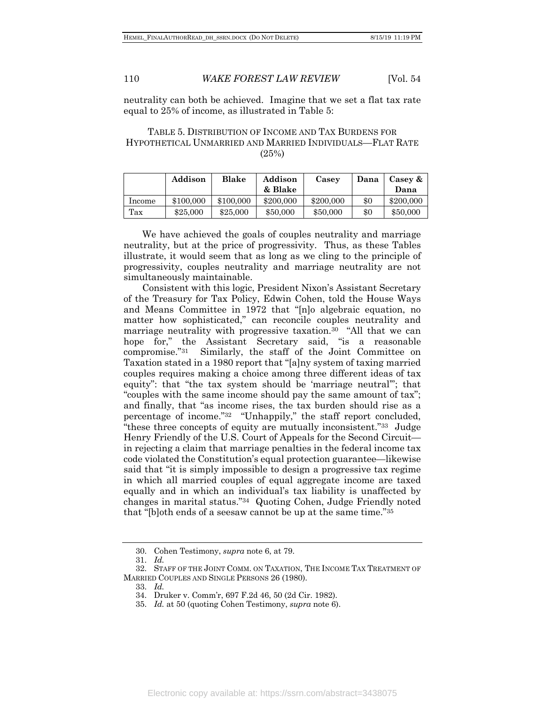neutrality can both be achieved. Imagine that we set a flat tax rate equal to 25% of income, as illustrated in Table 5:

#### TABLE 5. DISTRIBUTION OF INCOME AND TAX BURDENS FOR HYPOTHETICAL UNMARRIED AND MARRIED INDIVIDUALS—FLAT RATE (25%)

|        | Addison   | Blake     | Addison<br>Casey |           | Dana | Casey $\&$ |
|--------|-----------|-----------|------------------|-----------|------|------------|
|        |           |           | & Blake          |           |      | Dana       |
| Income | \$100,000 | \$100,000 | \$200,000        | \$200,000 | \$0  | \$200,000  |
| Tax    | \$25,000  | \$25,000  | \$50,000         | \$50,000  | \$0  | \$50,000   |

We have achieved the goals of couples neutrality and marriage neutrality, but at the price of progressivity. Thus, as these Tables illustrate, it would seem that as long as we cling to the principle of progressivity, couples neutrality and marriage neutrality are not simultaneously maintainable.

Consistent with this logic, President Nixon's Assistant Secretary of the Treasury for Tax Policy, Edwin Cohen, told the House Ways and Means Committee in 1972 that "[n]o algebraic equation, no matter how sophisticated," can reconcile couples neutrality and marriage neutrality with progressive taxation.<sup>30</sup> "All that we can hope for," the Assistant Secretary said, "is a reasonable compromise."31 Similarly, the staff of the Joint Committee on Taxation stated in a 1980 report that "[a]ny system of taxing married couples requires making a choice among three different ideas of tax equity": that "the tax system should be 'marriage neutral'"; that "couples with the same income should pay the same amount of tax"; and finally, that "as income rises, the tax burden should rise as a percentage of income."32 "Unhappily," the staff report concluded, "these three concepts of equity are mutually inconsistent."33 Judge Henry Friendly of the U.S. Court of Appeals for the Second Circuit in rejecting a claim that marriage penalties in the federal income tax code violated the Constitution's equal protection guarantee—likewise said that "it is simply impossible to design a progressive tax regime in which all married couples of equal aggregate income are taxed equally and in which an individual's tax liability is unaffected by changes in marital status."34 Quoting Cohen, Judge Friendly noted that "[b]oth ends of a seesaw cannot be up at the same time."35

<sup>30.</sup> Cohen Testimony, *supra* note 6, at 79.

<sup>31.</sup> *Id.*

<sup>32.</sup> STAFF OF THE JOINT COMM. ON TAXATION, THE INCOME TAX TREATMENT OF MARRIED COUPLES AND SINGLE PERSONS 26 (1980).

<sup>33.</sup> *Id.*

<sup>34.</sup> Druker v. Comm'r, 697 F.2d 46, 50 (2d Cir. 1982).

<sup>35.</sup> *Id.* at 50 (quoting Cohen Testimony, *supra* note 6).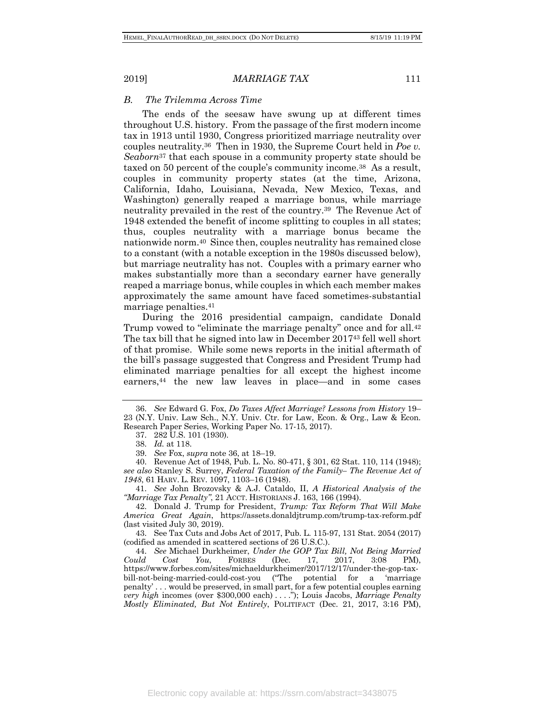#### *B. The Trilemma Across Time*

The ends of the seesaw have swung up at different times throughout U.S. history. From the passage of the first modern income tax in 1913 until 1930, Congress prioritized marriage neutrality over couples neutrality.36 Then in 1930, the Supreme Court held in *Poe v. Seaborn*<sup>37</sup> that each spouse in a community property state should be taxed on 50 percent of the couple's community income.38 As a result, couples in community property states (at the time, Arizona, California, Idaho, Louisiana, Nevada, New Mexico, Texas, and Washington) generally reaped a marriage bonus, while marriage neutrality prevailed in the rest of the country.39 The Revenue Act of 1948 extended the benefit of income splitting to couples in all states; thus, couples neutrality with a marriage bonus became the nationwide norm.40 Since then, couples neutrality has remained close to a constant (with a notable exception in the 1980s discussed below), but marriage neutrality has not. Couples with a primary earner who makes substantially more than a secondary earner have generally reaped a marriage bonus, while couples in which each member makes approximately the same amount have faced sometimes-substantial marriage penalties.41

During the 2016 presidential campaign, candidate Donald Trump vowed to "eliminate the marriage penalty" once and for all.<sup>42</sup> The tax bill that he signed into law in December 201743 fell well short of that promise. While some news reports in the initial aftermath of the bill's passage suggested that Congress and President Trump had eliminated marriage penalties for all except the highest income earners,44 the new law leaves in place—and in some cases

41. *See* John Brozovsky & A.J. Cataldo, II, *A Historical Analysis of the "Marriage Tax Penalty"*, 21 ACCT. HISTORIANS J. 163, 166 (1994).

42. Donald J. Trump for President, *Trump: Tax Reform That Will Make America Great Again*, https://assets.donaldjtrump.com/trump-tax-reform.pdf (last visited July 30, 2019).

43. See Tax Cuts and Jobs Act of 2017, Pub. L. 115-97, 131 Stat. 2054 (2017) (codified as amended in scattered sections of 26 U.S.C.).

44. *See* Michael Durkheimer, *Under the GOP Tax Bill, Not Being Married Could Cost You*, FORBES (Dec. 17, 2017, 3:08 PM), https://www.forbes.com/sites/michaeldurkheimer/2017/12/17/under-the-gop-taxbill-not-being-married-could-cost-you ("The potential for a 'marriage penalty' . . . would be preserved, in small part, for a few potential couples earning *very high* incomes (over \$300,000 each) . . . ."); Louis Jacobs, *Marriage Penalty Mostly Eliminated, But Not Entirely*, POLITIFACT (Dec. 21, 2017, 3:16 PM),

<sup>36.</sup> *See* Edward G. Fox, *Do Taxes Affect Marriage? Lessons from History* 19– 23 (N.Y. Univ. Law Sch., N.Y. Univ. Ctr. for Law, Econ. & Org., Law & Econ. Research Paper Series, Working Paper No. 17-15, 2017).

<sup>37.</sup> 282 U.S. 101 (1930).

<sup>38.</sup> *Id.* at 118.

<sup>39.</sup> *See* Fox, *supra* note 36, at 18–19.

<sup>40.</sup> Revenue Act of 1948, Pub. L. No. 80-471, § 301, 62 Stat. 110, 114 (1948); *see also* Stanley S. Surrey, *Federal Taxation of the Family– The Revenue Act of 1948*, 61 HARV. L. REV. 1097, 1103–16 (1948).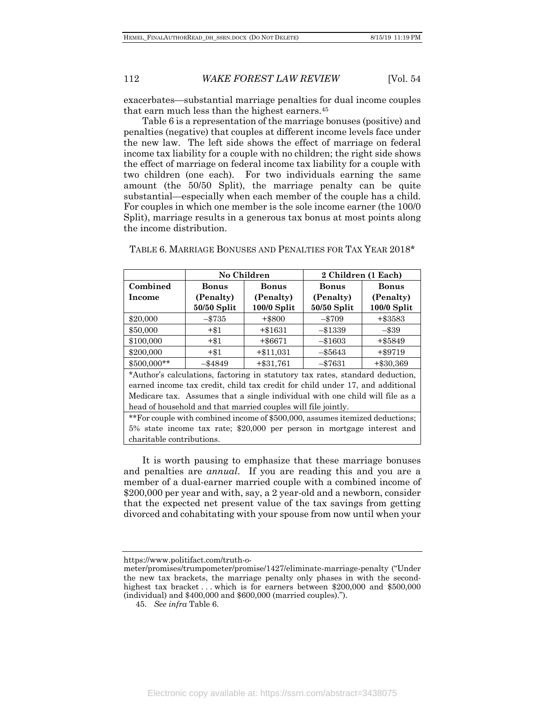exacerbates—substantial marriage penalties for dual income couples that earn much less than the highest earners.45

Table 6 is a representation of the marriage bonuses (positive) and penalties (negative) that couples at different income levels face under the new law. The left side shows the effect of marriage on federal income tax liability for a couple with no children; the right side shows the effect of marriage on federal income tax liability for a couple with two children (one each). For two individuals earning the same amount (the 50/50 Split), the marriage penalty can be quite substantial—especially when each member of the couple has a child. For couples in which one member is the sole income earner (the 100/0 Split), marriage results in a generous tax bonus at most points along the income distribution.

|             |                                                                               | No Children   | 2 Children (1 Each) |               |  |
|-------------|-------------------------------------------------------------------------------|---------------|---------------------|---------------|--|
| Combined    | Bonus                                                                         | <b>Bonus</b>  | <b>Bonus</b>        | <b>Bonus</b>  |  |
| Income      | (Penalty)                                                                     | (Penalty)     |                     | (Penalty)     |  |
|             | $50/50$ Split                                                                 | $100/0$ Split | $50/50$ Split       | $100/0$ Split |  |
| \$20,000    | $-15735$                                                                      | $+$ \$800     | $-15709$            | $+ $3583$     |  |
| \$50,000    | $+\$1$                                                                        | $+ $1631$     | $-1339$             | $-139$        |  |
| \$100,000   | $+$ \$1                                                                       | $+$ \$6671    | $-1603$             | $+ $5849$     |  |
| \$200,000   | $+\$1$                                                                        | $+ $11,031$   | $-$ \$5643          | $+$ \$9719    |  |
| \$500,000** | $-$ \$4849                                                                    | $+ $31,761$   | $- $7631$           | $+ $30,369$   |  |
|             | *Author's calculations, factoring in statutory tax rates, standard deduction, |               |                     |               |  |

TABLE 6. MARRIAGE BONUSES AND PENALTIES FOR TAX YEAR 2018\*

earned income tax credit, child tax credit for child under 17, and additional Medicare tax. Assumes that a single individual with one child will file as a head of household and that married couples will file jointly.

\*\*For couple with combined income of \$500,000, assumes itemized deductions; 5% state income tax rate; \$20,000 per person in mortgage interest and charitable contributions.

It is worth pausing to emphasize that these marriage bonuses and penalties are *annual*. If you are reading this and you are a member of a dual-earner married couple with a combined income of \$200,000 per year and with, say, a 2 year-old and a newborn, consider that the expected net present value of the tax savings from getting divorced and cohabitating with your spouse from now until when your

https://www.politifact.com/truth-o-

meter/promises/trumpometer/promise/1427/eliminate-marriage-penalty ("Under the new tax brackets, the marriage penalty only phases in with the secondhighest tax bracket . . . which is for earners between \$200,000 and \$500,000 (individual) and \$400,000 and \$600,000 (married couples).").

<sup>45.</sup> *See infra* Table 6.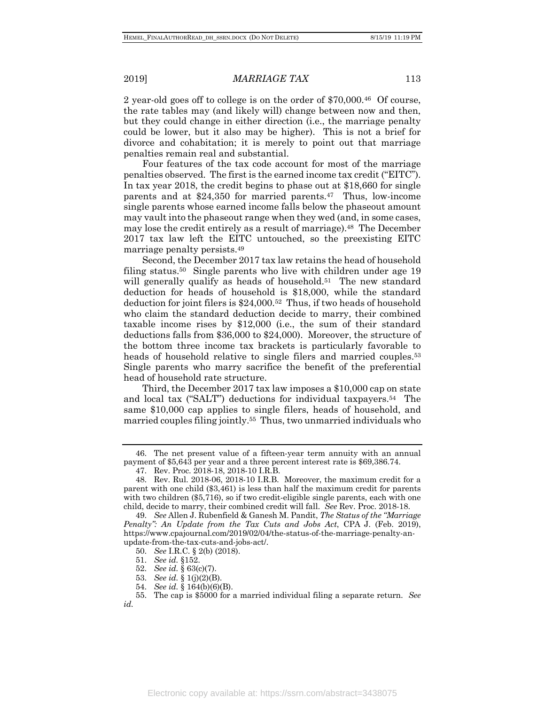2 year-old goes off to college is on the order of \$70,000.46 Of course, the rate tables may (and likely will) change between now and then, but they could change in either direction (i.e., the marriage penalty could be lower, but it also may be higher). This is not a brief for divorce and cohabitation; it is merely to point out that marriage penalties remain real and substantial.

Four features of the tax code account for most of the marriage penalties observed. The first is the earned income tax credit ("EITC"). In tax year 2018, the credit begins to phase out at \$18,660 for single parents and at \$24,350 for married parents.47 Thus, low-income single parents whose earned income falls below the phaseout amount may vault into the phaseout range when they wed (and, in some cases, may lose the credit entirely as a result of marriage).<sup>48</sup> The December 2017 tax law left the EITC untouched, so the preexisting EITC marriage penalty persists.49

Second, the December 2017 tax law retains the head of household filing status.<sup>50</sup> Single parents who live with children under age 19 will generally qualify as heads of household.<sup>51</sup> The new standard deduction for heads of household is \$18,000, while the standard deduction for joint filers is \$24,000.52 Thus, if two heads of household who claim the standard deduction decide to marry, their combined taxable income rises by \$12,000 (i.e., the sum of their standard deductions falls from \$36,000 to \$24,000). Moreover, the structure of the bottom three income tax brackets is particularly favorable to heads of household relative to single filers and married couples.<sup>53</sup> Single parents who marry sacrifice the benefit of the preferential head of household rate structure.

Third, the December 2017 tax law imposes a \$10,000 cap on state and local tax ("SALT") deductions for individual taxpayers.54 The same \$10,000 cap applies to single filers, heads of household, and married couples filing jointly.55 Thus, two unmarried individuals who

54. *See id.* § 164(b)(6)(B).

<sup>46.</sup> The net present value of a fifteen-year term annuity with an annual payment of \$5,643 per year and a three percent interest rate is \$69,386.74.

<sup>47.</sup> Rev. Proc. 2018-18, 2018-10 I.R.B.

<sup>48.</sup> Rev. Rul. 2018-06, 2018-10 I.R.B. Moreover, the maximum credit for a parent with one child (\$3,461) is less than half the maximum credit for parents with two children (\$5,716), so if two credit-eligible single parents, each with one child, decide to marry, their combined credit will fall. *See* Rev. Proc. 2018-18.

<sup>49.</sup> *See* Allen J. Rubenfield & Ganesh M. Pandit, *The Status of the "Marriage Penalty": An Update from the Tax Cuts and Jobs Act*, CPA J. (Feb. 2019), https://www.cpajournal.com/2019/02/04/the-status-of-the-marriage-penalty-anupdate-from-the-tax-cuts-and-jobs-act/.

<sup>50.</sup> *See* I.R.C. § 2(b) (2018).

<sup>51.</sup> *See id.* §152.

<sup>52.</sup> *See id.* § 63(c)(7).

<sup>53.</sup> *See id.* § 1(j)(2)(B).

<sup>55.</sup> The cap is \$5000 for a married individual filing a separate return. *See id.*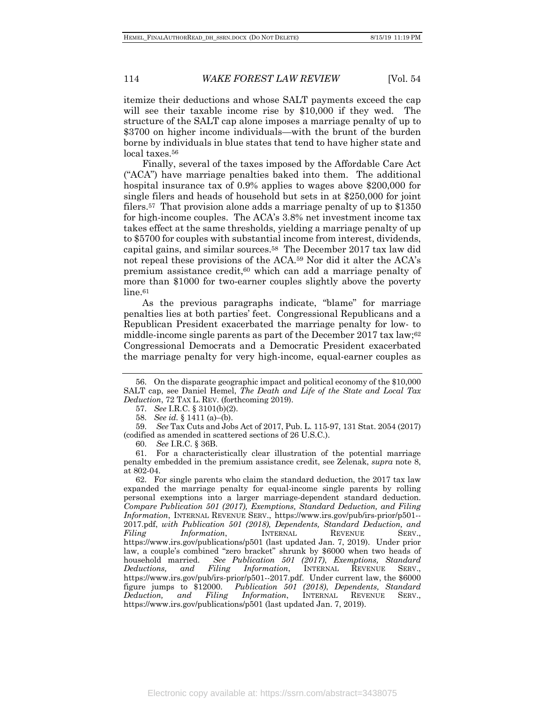itemize their deductions and whose SALT payments exceed the cap will see their taxable income rise by \$10,000 if they wed. The structure of the SALT cap alone imposes a marriage penalty of up to \$3700 on higher income individuals—with the brunt of the burden borne by individuals in blue states that tend to have higher state and local taxes.56

Finally, several of the taxes imposed by the Affordable Care Act ("ACA") have marriage penalties baked into them. The additional hospital insurance tax of 0.9% applies to wages above \$200,000 for single filers and heads of household but sets in at \$250,000 for joint filers.57 That provision alone adds a marriage penalty of up to \$1350 for high-income couples. The ACA's 3.8% net investment income tax takes effect at the same thresholds, yielding a marriage penalty of up to \$5700 for couples with substantial income from interest, dividends, capital gains, and similar sources.58 The December 2017 tax law did not repeal these provisions of the ACA.59 Nor did it alter the ACA's premium assistance credit,<sup>60</sup> which can add a marriage penalty of more than \$1000 for two-earner couples slightly above the poverty line.<sup>61</sup>

As the previous paragraphs indicate, "blame" for marriage penalties lies at both parties' feet. Congressional Republicans and a Republican President exacerbated the marriage penalty for low- to middle-income single parents as part of the December 2017 tax law;<sup>62</sup> Congressional Democrats and a Democratic President exacerbated the marriage penalty for very high-income, equal-earner couples as

59. *See* Tax Cuts and Jobs Act of 2017, Pub. L. 115-97, 131 Stat. 2054 (2017) (codified as amended in scattered sections of 26 U.S.C.).

60. *See* I.R.C. § 36B.

61. For a characteristically clear illustration of the potential marriage penalty embedded in the premium assistance credit, see Zelenak, *supra* note 8, at 802-04.

62. For single parents who claim the standard deduction, the 2017 tax law expanded the marriage penalty for equal-income single parents by rolling personal exemptions into a larger marriage-dependent standard deduction. *Compare Publication 501 (2017), Exemptions, Standard Deduction, and Filing Information*, INTERNAL REVENUE SERV., https://www.irs.gov/pub/irs-prior/p501-- 2017.pdf, *with Publication 501 (2018), Dependents, Standard Deduction, and Filing Information*, INTERNAL REVENUE SERV., https://www.irs.gov/publications/p501 (last updated Jan. 7, 2019). Under prior law, a couple's combined "zero bracket" shrunk by \$6000 when two heads of household married. *See Publication 501 (2017)*, *Exemptions, Standard Deductions, and Filing Information*, INTERNAL REVENUE SERV., https://www.irs.gov/pub/irs-prior/p501--2017.pdf. Under current law, the \$6000 figure jumps to \$12000. *Publication 501 (2018)*, *Dependents, Standard Deduction, and Filing Information*, INTERNAL REVENUE SERV., https://www.irs.gov/publications/p501 (last updated Jan. 7, 2019).

<sup>56.</sup> On the disparate geographic impact and political economy of the \$10,000 SALT cap, see Daniel Hemel, *The Death and Life of the State and Local Tax Deduction*, 72 TAX L. REV. (forthcoming 2019).

<sup>57.</sup> *See* I.R.C. § 3101(b)(2).

<sup>58.</sup> *See id.* § 1411 (a)–(b).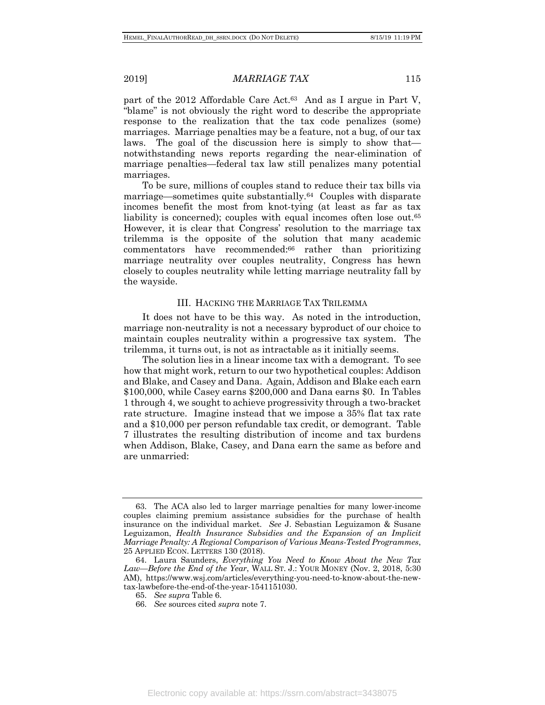part of the 2012 Affordable Care Act.63 And as I argue in Part V, "blame" is not obviously the right word to describe the appropriate response to the realization that the tax code penalizes (some) marriages. Marriage penalties may be a feature, not a bug, of our tax laws. The goal of the discussion here is simply to show that notwithstanding news reports regarding the near-elimination of marriage penalties—federal tax law still penalizes many potential marriages.

To be sure, millions of couples stand to reduce their tax bills via marriage—sometimes quite substantially.64 Couples with disparate incomes benefit the most from knot-tying (at least as far as tax liability is concerned); couples with equal incomes often lose out.<sup>65</sup> However, it is clear that Congress' resolution to the marriage tax trilemma is the opposite of the solution that many academic commentators have recommended:66 rather than prioritizing marriage neutrality over couples neutrality, Congress has hewn closely to couples neutrality while letting marriage neutrality fall by the wayside.

#### III. HACKING THE MARRIAGE TAX TRILEMMA

It does not have to be this way. As noted in the introduction, marriage non-neutrality is not a necessary byproduct of our choice to maintain couples neutrality within a progressive tax system. The trilemma, it turns out, is not as intractable as it initially seems.

The solution lies in a linear income tax with a demogrant. To see how that might work, return to our two hypothetical couples: Addison and Blake, and Casey and Dana. Again, Addison and Blake each earn \$100,000, while Casey earns \$200,000 and Dana earns \$0. In Tables 1 through 4, we sought to achieve progressivity through a two-bracket rate structure. Imagine instead that we impose a 35% flat tax rate and a \$10,000 per person refundable tax credit, or demogrant. Table 7 illustrates the resulting distribution of income and tax burdens when Addison, Blake, Casey, and Dana earn the same as before and are unmarried:

<sup>63.</sup> The ACA also led to larger marriage penalties for many lower-income couples claiming premium assistance subsidies for the purchase of health insurance on the individual market. *See* J. Sebastian Leguizamon & Susane Leguizamon, *Health Insurance Subsidies and the Expansion of an Implicit Marriage Penalty: A Regional Comparison of Various Means-Tested Programmes*, 25 APPLIED ECON. LETTERS 130 (2018).

<sup>64.</sup> Laura Saunders, *Everything You Need to Know About the New Tax Law—Before the End of the Year*, WALL ST. J.: YOUR MONEY (Nov. 2, 2018, 5:30 AM), https://www.wsj.com/articles/everything-you-need-to-know-about-the-newtax-lawbefore-the-end-of-the-year-1541151030.

<sup>65.</sup> *See supra* Table 6.

<sup>66.</sup> *See* sources cited *supra* note 7.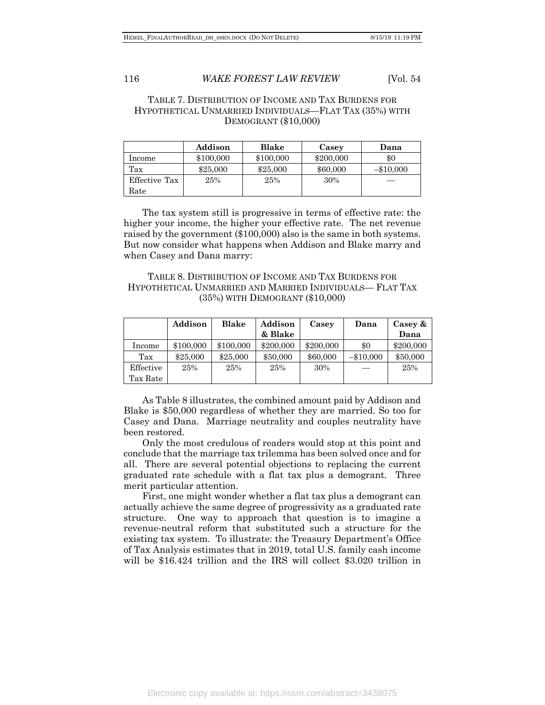#### TABLE 7. DISTRIBUTION OF INCOME AND TAX BURDENS FOR HYPOTHETICAL UNMARRIED INDIVIDUALS—FLAT TAX (35%) WITH DEMOGRANT (\$10,000)

|               | Addison   | Blake     | Casey     | Dana        |
|---------------|-----------|-----------|-----------|-------------|
| Income        | \$100,000 | \$100,000 | \$200,000 | \$0         |
| Tax           | \$25,000  | \$25,000  | \$60,000  | $-\$10,000$ |
| Effective Tax | 25%       | 25%       | 30%       |             |
| Rate          |           |           |           |             |

The tax system still is progressive in terms of effective rate: the higher your income, the higher your effective rate. The net revenue raised by the government (\$100,000) also is the same in both systems. But now consider what happens when Addison and Blake marry and when Casey and Dana marry:

TABLE 8. DISTRIBUTION OF INCOME AND TAX BURDENS FOR HYPOTHETICAL UNMARRIED AND MARRIED INDIVIDUALS— FLAT TAX (35%) WITH DEMOGRANT (\$10,000)

|           | Addison   | Blake     | Addison   | Casey     | Dana        | Casey $\&$ |
|-----------|-----------|-----------|-----------|-----------|-------------|------------|
|           |           |           | & Blake   |           |             | Dana       |
| Income    | \$100,000 | \$100,000 | \$200,000 | \$200,000 | $\$0$       | \$200,000  |
| Tax       | \$25,000  | \$25,000  | \$50,000  | \$60,000  | $-\$10,000$ | \$50,000   |
| Effective | 25%       | 25%       | 25%       | 30%       |             | 25%        |
| Tax Rate  |           |           |           |           |             |            |

As Table 8 illustrates, the combined amount paid by Addison and Blake is \$50,000 regardless of whether they are married. So too for Casey and Dana. Marriage neutrality and couples neutrality have been restored.

Only the most credulous of readers would stop at this point and conclude that the marriage tax trilemma has been solved once and for all. There are several potential objections to replacing the current graduated rate schedule with a flat tax plus a demogrant. Three merit particular attention.

First, one might wonder whether a flat tax plus a demogrant can actually achieve the same degree of progressivity as a graduated rate structure. One way to approach that question is to imagine a revenue-neutral reform that substituted such a structure for the existing tax system. To illustrate: the Treasury Department's Office of Tax Analysis estimates that in 2019, total U.S. family cash income will be \$16.424 trillion and the IRS will collect \$3.020 trillion in

Electronic copy available at: https://ssrn.com/abstract=3438075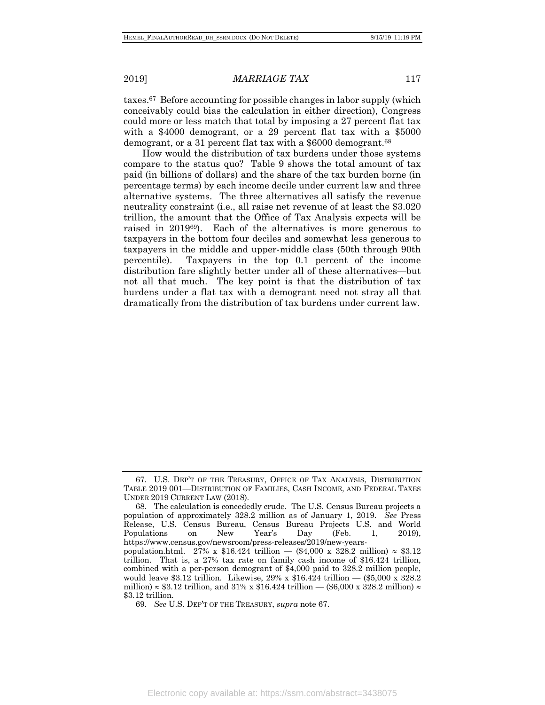taxes.67 Before accounting for possible changes in labor supply (which conceivably could bias the calculation in either direction), Congress could more or less match that total by imposing a 27 percent flat tax with a \$4000 demogrant, or a 29 percent flat tax with a \$5000 demogrant, or a 31 percent flat tax with a \$6000 demogrant.68

How would the distribution of tax burdens under those systems compare to the status quo? Table 9 shows the total amount of tax paid (in billions of dollars) and the share of the tax burden borne (in percentage terms) by each income decile under current law and three alternative systems. The three alternatives all satisfy the revenue neutrality constraint (i.e., all raise net revenue of at least the \$3.020 trillion, the amount that the Office of Tax Analysis expects will be raised in 201969). Each of the alternatives is more generous to taxpayers in the bottom four deciles and somewhat less generous to taxpayers in the middle and upper-middle class (50th through 90th percentile). Taxpayers in the top 0.1 percent of the income distribution fare slightly better under all of these alternatives—but not all that much. The key point is that the distribution of tax burdens under a flat tax with a demogrant need not stray all that dramatically from the distribution of tax burdens under current law.

69. *See* U.S. DEP'T OF THE TREASURY, *supra* note 67.

<sup>67.</sup> U.S. DEP'T OF THE TREASURY, OFFICE OF TAX ANALYSIS, DISTRIBUTION TABLE 2019 001—DISTRIBUTION OF FAMILIES, CASH INCOME, AND FEDERAL TAXES UNDER 2019 CURRENT LAW (2018).

<sup>68.</sup> The calculation is concededly crude. The U.S. Census Bureau projects a population of approximately 328.2 million as of January 1, 2019. *See* Press Release, U.S. Census Bureau, Census Bureau Projects U.S. and World Populations on New Year's Day (Feb. 1, 2019), https://www.census.gov/newsroom/press-releases/2019/new-yearspopulation.html. 27% x  $$16.424$  trillion — (\$4,000 x 328.2 million)  $\approx$  \$3.12 trillion. That is, a 27% tax rate on family cash income of \$16.424 trillion, combined with a per-person demogrant of \$4,000 paid to 328.2 million people, would leave \$3.12 trillion. Likewise, 29% x \$16.424 trillion — (\$5,000 x 328.2 million)  $\approx$  \$3.12 trillion, and 31% x \$16.424 trillion — (\$6,000 x 328.2 million)  $\approx$ \$3.12 trillion.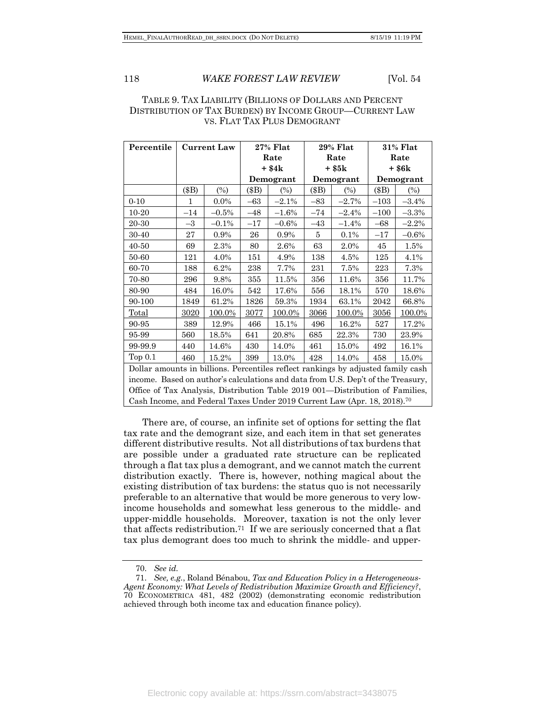#### TABLE 9. TAX LIABILITY (BILLIONS OF DOLLARS AND PERCENT DISTRIBUTION OF TAX BURDEN) BY INCOME GROUP—CURRENT LAW VS. FLAT TAX PLUS DEMOGRANT

| Percentile                                                                           |       | <b>Current Law</b> |           | $27\%$ Flat | $29%$ Flat |           | <b>31% Flat</b> |           |  |
|--------------------------------------------------------------------------------------|-------|--------------------|-----------|-------------|------------|-----------|-----------------|-----------|--|
|                                                                                      |       |                    |           | Rate        | Rate       |           | Rate            |           |  |
|                                                                                      |       |                    |           | $+$ \$4 $k$ | + \$5k     |           | + \$6k          |           |  |
|                                                                                      |       |                    | Demogrant |             |            | Demogrant |                 | Demogrant |  |
|                                                                                      | (\$B) | $(\%)$             | (\$B)     | $(\%)$      | $(\$B)$    | (%)       | (\$B)           | $(\%)$    |  |
| $0 - 10$                                                                             | 1     | $0.0\%$            | $-63$     | $-2.1%$     | $-83$      | $-2.7%$   | $-103$          | $-3.4%$   |  |
| 10-20                                                                                | $-14$ | $-0.5%$            | $-48$     | $-1.6\%$    | $-74$      | $-2.4%$   | $-100$          | $-3.3%$   |  |
| 20-30                                                                                | $-3$  | $-0.1%$            | $-17$     | $-0.6%$     | $-43$      | $-1.4%$   | $-68$           | $-2.2%$   |  |
| 30-40                                                                                | 27    | 0.9%               | 26        | 0.9%        | 5          | 0.1%      | $-17$           | $-0.6%$   |  |
| $40 - 50$                                                                            | 69    | 2.3%               | 80        | 2.6%        | 63         | 2.0%      | 45              | 1.5%      |  |
| 50-60                                                                                | 121   | 4.0%               | 151       | 4.9%        | 138        | 4.5%      | 125             | 4.1%      |  |
| 60-70                                                                                | 188   | 6.2%               | 238       | 7.7%        | 231        | 7.5%      | 223             | 7.3%      |  |
| 70-80                                                                                | 296   | 9.8%               | 355       | 11.5%       | 356        | 11.6%     | 356             | 11.7%     |  |
| 80-90                                                                                | 484   | 16.0%              | 542       | 17.6%       | 556        | 18.1%     | 570             | 18.6%     |  |
| 90-100                                                                               | 1849  | 61.2%              | 1826      | 59.3%       | 1934       | 63.1%     | 2042            | 66.8%     |  |
| Total                                                                                | 3020  | 100.0%             | 3077      | 100.0%      | 3066       | 100.0%    | 3056            | 100.0%    |  |
| 90-95                                                                                | 389   | 12.9%              | 466       | 15.1%       | 496        | 16.2%     | 527             | 17.2%     |  |
| 95-99                                                                                | 560   | 18.5%              | 641       | 20.8%       | 685        | 22.3%     | 730             | 23.9%     |  |
| 99-99.9                                                                              | 440   | 14.6%              | 430       | 14.0%       | 461        | 15.0%     | 492             | 16.1%     |  |
| Top $0.1$                                                                            | 460   | 15.2%              | 399       | 13.0%       | 428        | 14.0%     | 458             | 15.0%     |  |
| Dollar amounts in billions. Percentiles reflect rankings by adjusted family cash     |       |                    |           |             |            |           |                 |           |  |
| income. Based on author's calculations and data from U.S. Dep't of the Treasury,     |       |                    |           |             |            |           |                 |           |  |
| Office of Tax Analysis, Distribution Table 2019 001—Distribution of Families,        |       |                    |           |             |            |           |                 |           |  |
| Cash Income, and Federal Taxes Under 2019 Current Law (Apr. 18, 2018). <sup>70</sup> |       |                    |           |             |            |           |                 |           |  |

There are, of course, an infinite set of options for setting the flat tax rate and the demogrant size, and each item in that set generates different distributive results. Not all distributions of tax burdens that are possible under a graduated rate structure can be replicated through a flat tax plus a demogrant, and we cannot match the current distribution exactly. There is, however, nothing magical about the existing distribution of tax burdens: the status quo is not necessarily preferable to an alternative that would be more generous to very lowincome households and somewhat less generous to the middle- and upper-middle households. Moreover, taxation is not the only lever that affects redistribution.71 If we are seriously concerned that a flat tax plus demogrant does too much to shrink the middle- and upper-

<sup>70.</sup> *See id.*

<sup>71.</sup> *See, e.g.*, Roland Bénabou, *Tax and Education Policy in a Heterogeneous-Agent Economy: What Levels of Redistribution Maximize Growth and Efficiency?*, 70 ECONOMETRICA 481, 482 (2002) (demonstrating economic redistribution achieved through both income tax and education finance policy).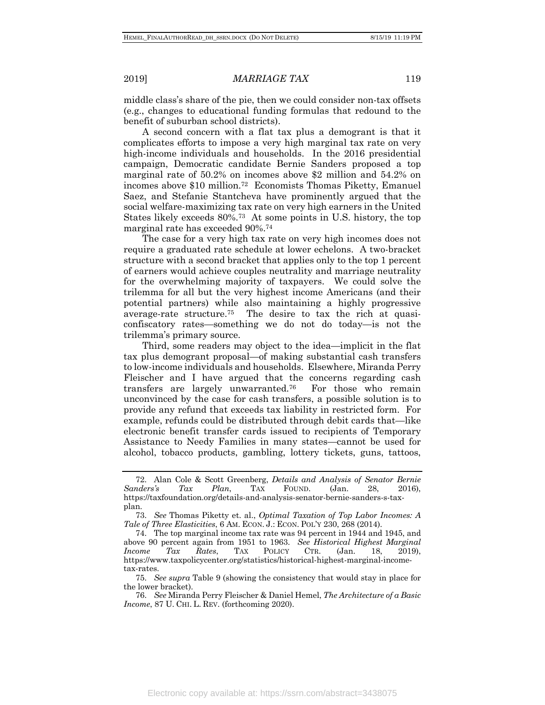middle class's share of the pie, then we could consider non-tax offsets (e.g., changes to educational funding formulas that redound to the benefit of suburban school districts).

A second concern with a flat tax plus a demogrant is that it complicates efforts to impose a very high marginal tax rate on very high-income individuals and households. In the 2016 presidential campaign, Democratic candidate Bernie Sanders proposed a top marginal rate of 50.2% on incomes above \$2 million and 54.2% on incomes above \$10 million.72 Economists Thomas Piketty, Emanuel Saez, and Stefanie Stantcheva have prominently argued that the social welfare-maximizing tax rate on very high earners in the United States likely exceeds 80%.73 At some points in U.S. history, the top marginal rate has exceeded 90%.74

The case for a very high tax rate on very high incomes does not require a graduated rate schedule at lower echelons. A two-bracket structure with a second bracket that applies only to the top 1 percent of earners would achieve couples neutrality and marriage neutrality for the overwhelming majority of taxpayers. We could solve the trilemma for all but the very highest income Americans (and their potential partners) while also maintaining a highly progressive average-rate structure.75 The desire to tax the rich at quasiconfiscatory rates—something we do not do today—is not the trilemma's primary source.

Third, some readers may object to the idea—implicit in the flat tax plus demogrant proposal—of making substantial cash transfers to low-income individuals and households. Elsewhere, Miranda Perry Fleischer and I have argued that the concerns regarding cash transfers are largely unwarranted.76 For those who remain unconvinced by the case for cash transfers, a possible solution is to provide any refund that exceeds tax liability in restricted form. For example, refunds could be distributed through debit cards that—like electronic benefit transfer cards issued to recipients of Temporary Assistance to Needy Families in many states—cannot be used for alcohol, tobacco products, gambling, lottery tickets, guns, tattoos,

<sup>72.</sup> Alan Cole & Scott Greenberg, *Details and Analysis of Senator Bernie Sanders's Tax Plan*, TAX FOUND. (Jan. 28, 2016), https://taxfoundation.org/details-and-analysis-senator-bernie-sanders-s-taxplan.

<sup>73.</sup> *See* Thomas Piketty et. al., *Optimal Taxation of Top Labor Incomes: A Tale of Three Elasticities*, 6 AM. ECON. J.: ECON. POL'Y 230, 268 (2014).

<sup>74.</sup> The top marginal income tax rate was 94 percent in 1944 and 1945, and above 90 percent again from 1951 to 1963. *See Historical Highest Marginal Income Tax Rates*, TAX POLICY CTR. (Jan. 18, 2019), https://www.taxpolicycenter.org/statistics/historical-highest-marginal-incometax-rates.

<sup>75.</sup> *See supra* Table 9 (showing the consistency that would stay in place for the lower bracket).

<sup>76.</sup> *See* Miranda Perry Fleischer & Daniel Hemel, *The Architecture of a Basic Income*, 87 U. CHI. L. REV. (forthcoming 2020).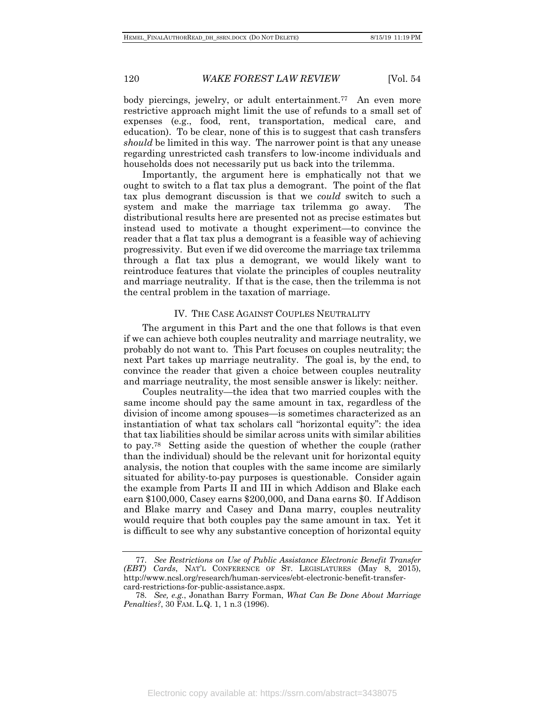body piercings, jewelry, or adult entertainment.77 An even more restrictive approach might limit the use of refunds to a small set of expenses (e.g., food, rent, transportation, medical care, and education). To be clear, none of this is to suggest that cash transfers *should* be limited in this way. The narrower point is that any unease regarding unrestricted cash transfers to low-income individuals and households does not necessarily put us back into the trilemma.

Importantly, the argument here is emphatically not that we ought to switch to a flat tax plus a demogrant. The point of the flat tax plus demogrant discussion is that we *could* switch to such a system and make the marriage tax trilemma go away. The distributional results here are presented not as precise estimates but instead used to motivate a thought experiment—to convince the reader that a flat tax plus a demogrant is a feasible way of achieving progressivity. But even if we did overcome the marriage tax trilemma through a flat tax plus a demogrant, we would likely want to reintroduce features that violate the principles of couples neutrality and marriage neutrality. If that is the case, then the trilemma is not the central problem in the taxation of marriage.

#### IV. THE CASE AGAINST COUPLES NEUTRALITY

The argument in this Part and the one that follows is that even if we can achieve both couples neutrality and marriage neutrality, we probably do not want to. This Part focuses on couples neutrality; the next Part takes up marriage neutrality. The goal is, by the end, to convince the reader that given a choice between couples neutrality and marriage neutrality, the most sensible answer is likely: neither.

Couples neutrality—the idea that two married couples with the same income should pay the same amount in tax, regardless of the division of income among spouses—is sometimes characterized as an instantiation of what tax scholars call "horizontal equity": the idea that tax liabilities should be similar across units with similar abilities to pay.78 Setting aside the question of whether the couple (rather than the individual) should be the relevant unit for horizontal equity analysis, the notion that couples with the same income are similarly situated for ability-to-pay purposes is questionable. Consider again the example from Parts II and III in which Addison and Blake each earn \$100,000, Casey earns \$200,000, and Dana earns \$0. If Addison and Blake marry and Casey and Dana marry, couples neutrality would require that both couples pay the same amount in tax. Yet it is difficult to see why any substantive conception of horizontal equity

Electronic copy available at: https://ssrn.com/abstract=3438075

<sup>77.</sup> *See Restrictions on Use of Public Assistance Electronic Benefit Transfer (EBT) Cards*, NAT'L CONFERENCE OF ST. LEGISLATURES (May 8, 2015), http://www.ncsl.org/research/human-services/ebt-electronic-benefit-transfercard-restrictions-for-public-assistance.aspx.

<sup>78.</sup> *See, e.g.*, Jonathan Barry Forman, *What Can Be Done About Marriage Penalties?*, 30 FAM. L.Q. 1, 1 n.3 (1996).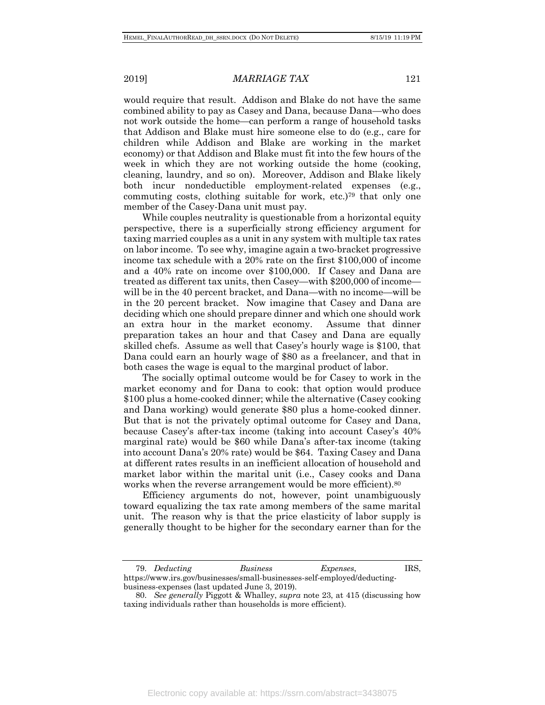would require that result. Addison and Blake do not have the same combined ability to pay as Casey and Dana, because Dana—who does not work outside the home—can perform a range of household tasks that Addison and Blake must hire someone else to do (e.g., care for children while Addison and Blake are working in the market economy) or that Addison and Blake must fit into the few hours of the week in which they are not working outside the home (cooking, cleaning, laundry, and so on). Moreover, Addison and Blake likely both incur nondeductible employment-related expenses (e.g., commuting costs, clothing suitable for work, etc.)79 that only one member of the Casey-Dana unit must pay.

While couples neutrality is questionable from a horizontal equity perspective, there is a superficially strong efficiency argument for taxing married couples as a unit in any system with multiple tax rates on labor income. To see why, imagine again a two-bracket progressive income tax schedule with a 20% rate on the first \$100,000 of income and a 40% rate on income over \$100,000. If Casey and Dana are treated as different tax units, then Casey—with \$200,000 of income will be in the 40 percent bracket, and Dana—with no income—will be in the 20 percent bracket. Now imagine that Casey and Dana are deciding which one should prepare dinner and which one should work an extra hour in the market economy. Assume that dinner preparation takes an hour and that Casey and Dana are equally skilled chefs. Assume as well that Casey's hourly wage is \$100, that Dana could earn an hourly wage of \$80 as a freelancer, and that in both cases the wage is equal to the marginal product of labor.

The socially optimal outcome would be for Casey to work in the market economy and for Dana to cook: that option would produce \$100 plus a home-cooked dinner; while the alternative (Casey cooking and Dana working) would generate \$80 plus a home-cooked dinner. But that is not the privately optimal outcome for Casey and Dana, because Casey's after-tax income (taking into account Casey's 40% marginal rate) would be \$60 while Dana's after-tax income (taking into account Dana's 20% rate) would be \$64. Taxing Casey and Dana at different rates results in an inefficient allocation of household and market labor within the marital unit (i.e., Casey cooks and Dana works when the reverse arrangement would be more efficient).<sup>80</sup>

Efficiency arguments do not, however, point unambiguously toward equalizing the tax rate among members of the same marital unit. The reason why is that the price elasticity of labor supply is generally thought to be higher for the secondary earner than for the

<sup>79.</sup> *Deducting Business Expenses*, IRS, https://www.irs.gov/businesses/small-businesses-self-employed/deductingbusiness-expenses (last updated June 3, 2019).

<sup>80.</sup> *See generally* Piggott & Whalley, *supra* note 23, at 415 (discussing how taxing individuals rather than households is more efficient).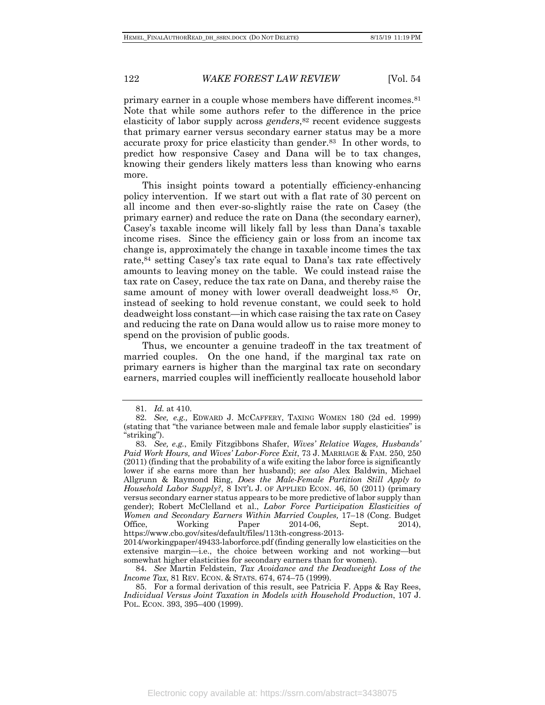primary earner in a couple whose members have different incomes.81 Note that while some authors refer to the difference in the price elasticity of labor supply across *genders*,82 recent evidence suggests that primary earner versus secondary earner status may be a more accurate proxy for price elasticity than gender.83 In other words, to predict how responsive Casey and Dana will be to tax changes, knowing their genders likely matters less than knowing who earns more.

This insight points toward a potentially efficiency-enhancing policy intervention. If we start out with a flat rate of 30 percent on all income and then ever-so-slightly raise the rate on Casey (the primary earner) and reduce the rate on Dana (the secondary earner), Casey's taxable income will likely fall by less than Dana's taxable income rises. Since the efficiency gain or loss from an income tax change is, approximately the change in taxable income times the tax rate,84 setting Casey's tax rate equal to Dana's tax rate effectively amounts to leaving money on the table. We could instead raise the tax rate on Casey, reduce the tax rate on Dana, and thereby raise the same amount of money with lower overall deadweight loss.<sup>85</sup> Or, instead of seeking to hold revenue constant, we could seek to hold deadweight loss constant—in which case raising the tax rate on Casey and reducing the rate on Dana would allow us to raise more money to spend on the provision of public goods.

Thus, we encounter a genuine tradeoff in the tax treatment of married couples. On the one hand, if the marginal tax rate on primary earners is higher than the marginal tax rate on secondary earners, married couples will inefficiently reallocate household labor

<sup>81.</sup> *Id.* at 410.

<sup>82.</sup> *See, e.g.,* EDWARD J. MCCAFFERY, TAXING WOMEN 180 (2d ed. 1999) (stating that "the variance between male and female labor supply elasticities" is "striking").

<sup>83.</sup> *See, e.g.*, Emily Fitzgibbons Shafer, *Wives' Relative Wages, Husbands' Paid Work Hours, and Wives' Labor-Force Exit*, 73 J. MARRIAGE & FAM. 250, 250 (2011) (finding that the probability of a wife exiting the labor force is significantly lower if she earns more than her husband); *see also* Alex Baldwin, Michael Allgrunn & Raymond Ring, *Does the Male-Female Partition Still Apply to Household Labor Supply?*, 8 INT'L J. OF APPLIED ECON. 46, 50 (2011) (primary versus secondary earner status appears to be more predictive of labor supply than gender); Robert McClelland et al., *Labor Force Participation Elasticities of Women and Secondary Earners Within Married Couples,* 17–18 (Cong. Budget Office, Working Paper 2014-06, Sept. 2014), https://www.cbo.gov/sites/default/files/113th-congress-2013-

<sup>2014/</sup>workingpaper/49433-laborforce.pdf (finding generally low elasticities on the extensive margin—i.e., the choice between working and not working—but somewhat higher elasticities for secondary earners than for women).

<sup>84.</sup> *See* Martin Feldstein, *Tax Avoidance and the Deadweight Loss of the Income Tax*, 81 REV. ECON. & STATS. 674, 674-75 (1999).

<sup>85.</sup> For a formal derivation of this result, see Patricia F. Apps & Ray Rees, *Individual Versus Joint Taxation in Models with Household Production*, 107 J. POL. ECON. 393, 395–400 (1999).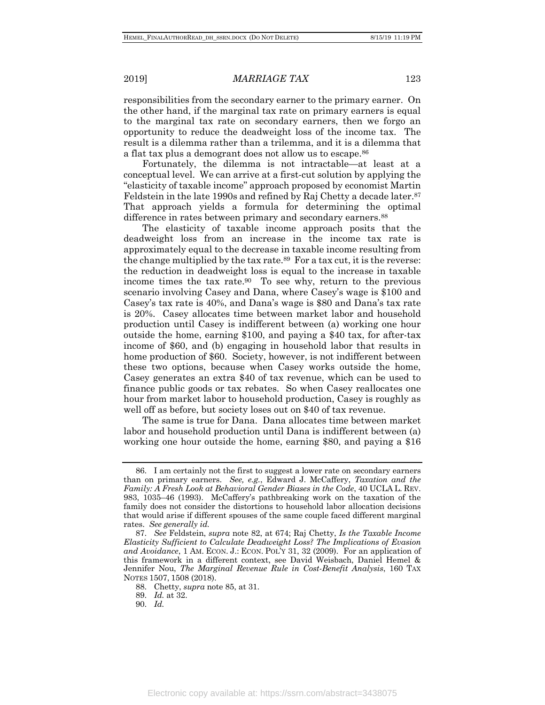responsibilities from the secondary earner to the primary earner. On the other hand, if the marginal tax rate on primary earners is equal to the marginal tax rate on secondary earners, then we forgo an opportunity to reduce the deadweight loss of the income tax. The result is a dilemma rather than a trilemma, and it is a dilemma that a flat tax plus a demogrant does not allow us to escape.86

Fortunately, the dilemma is not intractable—at least at a conceptual level. We can arrive at a first-cut solution by applying the "elasticity of taxable income" approach proposed by economist Martin Feldstein in the late 1990s and refined by Raj Chetty a decade later.<sup>87</sup> That approach yields a formula for determining the optimal difference in rates between primary and secondary earners.<sup>88</sup>

The elasticity of taxable income approach posits that the deadweight loss from an increase in the income tax rate is approximately equal to the decrease in taxable income resulting from the change multiplied by the tax rate.89 For a tax cut, it is the reverse: the reduction in deadweight loss is equal to the increase in taxable income times the tax rate.90 To see why, return to the previous scenario involving Casey and Dana, where Casey's wage is \$100 and Casey's tax rate is 40%, and Dana's wage is \$80 and Dana's tax rate is 20%. Casey allocates time between market labor and household production until Casey is indifferent between (a) working one hour outside the home, earning \$100, and paying a \$40 tax, for after-tax income of \$60, and (b) engaging in household labor that results in home production of \$60. Society, however, is not indifferent between these two options, because when Casey works outside the home, Casey generates an extra \$40 of tax revenue, which can be used to finance public goods or tax rebates. So when Casey reallocates one hour from market labor to household production, Casey is roughly as well off as before, but society loses out on \$40 of tax revenue.

The same is true for Dana. Dana allocates time between market labor and household production until Dana is indifferent between (a) working one hour outside the home, earning \$80, and paying a \$16

<sup>86.</sup> I am certainly not the first to suggest a lower rate on secondary earners than on primary earners. *See, e.g.*, Edward J. McCaffery, *Taxation and the Family: A Fresh Look at Behavioral Gender Biases in the Code*, 40 UCLA L. REV. 983, 1035–46 (1993). McCaffery's pathbreaking work on the taxation of the family does not consider the distortions to household labor allocation decisions that would arise if different spouses of the same couple faced different marginal rates. *See generally id.*

<sup>87.</sup> *See* Feldstein, *supra* note 82, at 674; Raj Chetty, *Is the Taxable Income Elasticity Sufficient to Calculate Deadweight Loss? The Implications of Evasion and Avoidance*, 1 AM. ECON. J.: ECON. POL'Y 31, 32 (2009). For an application of this framework in a different context, see David Weisbach, Daniel Hemel & Jennifer Nou, *The Marginal Revenue Rule in Cost-Benefit Analysis*, 160 TAX NOTES 1507, 1508 (2018).

<sup>88.</sup> Chetty, *supra* note 85, at 31.

<sup>89.</sup> *Id.* at 32.

<sup>90.</sup> *Id.*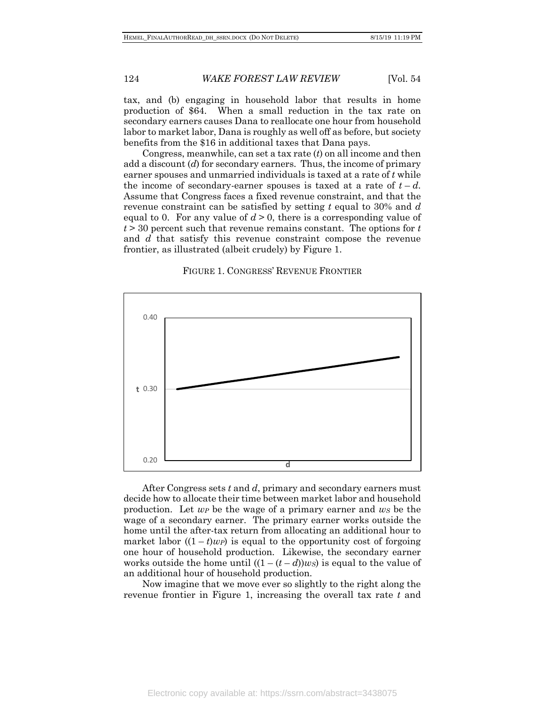tax, and (b) engaging in household labor that results in home production of \$64. When a small reduction in the tax rate on secondary earners causes Dana to reallocate one hour from household labor to market labor, Dana is roughly as well off as before, but society benefits from the \$16 in additional taxes that Dana pays.

Congress, meanwhile, can set a tax rate (*t*) on all income and then add a discount (*d*) for secondary earners. Thus, the income of primary earner spouses and unmarried individuals is taxed at a rate of *t* while the income of secondary-earner spouses is taxed at a rate of  $t-d$ . Assume that Congress faces a fixed revenue constraint, and that the revenue constraint can be satisfied by setting *t* equal to 30% and *d* equal to 0. For any value of  $d > 0$ , there is a corresponding value of *t* > 30 percent such that revenue remains constant. The options for *t* and *d* that satisfy this revenue constraint compose the revenue frontier, as illustrated (albeit crudely) by Figure 1.

#### FIGURE 1. CONGRESS' REVENUE FRONTIER



After Congress sets *t* and *d*, primary and secondary earners must decide how to allocate their time between market labor and household production. Let *wP* be the wage of a primary earner and *wS* be the wage of a secondary earner. The primary earner works outside the home until the after-tax return from allocating an additional hour to market labor  $((1 - t)wp)$  is equal to the opportunity cost of forgoing one hour of household production. Likewise, the secondary earner works outside the home until  $((1 - (t - d))ws)$  is equal to the value of an additional hour of household production.

Now imagine that we move ever so slightly to the right along the revenue frontier in Figure 1, increasing the overall tax rate *t* and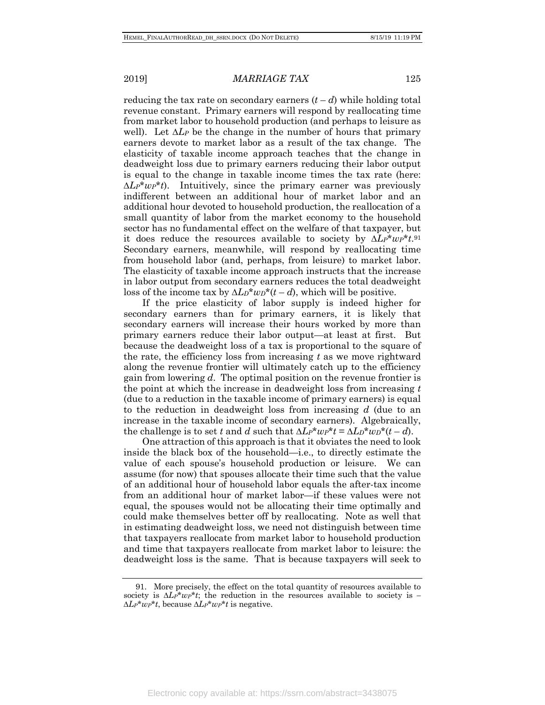reducing the tax rate on secondary earners  $(t-d)$  while holding total revenue constant. Primary earners will respond by reallocating time from market labor to household production (and perhaps to leisure as well). Let *∆LP* be the change in the number of hours that primary earners devote to market labor as a result of the tax change. The elasticity of taxable income approach teaches that the change in deadweight loss due to primary earners reducing their labor output is equal to the change in taxable income times the tax rate (here: *∆LP*\**wP*\**t*). Intuitively, since the primary earner was previously indifferent between an additional hour of market labor and an additional hour devoted to household production, the reallocation of a small quantity of labor from the market economy to the household sector has no fundamental effect on the welfare of that taxpayer, but it does reduce the resources available to society by *∆LP*\**wP*\**t*.91 Secondary earners, meanwhile, will respond by reallocating time from household labor (and, perhaps, from leisure) to market labor. The elasticity of taxable income approach instructs that the increase in labor output from secondary earners reduces the total deadweight loss of the income tax by  $\Delta L_D^* w_D^*(t - d)$ , which will be positive.

If the price elasticity of labor supply is indeed higher for secondary earners than for primary earners, it is likely that secondary earners will increase their hours worked by more than primary earners reduce their labor output—at least at first. But because the deadweight loss of a tax is proportional to the square of the rate, the efficiency loss from increasing *t* as we move rightward along the revenue frontier will ultimately catch up to the efficiency gain from lowering *d*. The optimal position on the revenue frontier is the point at which the increase in deadweight loss from increasing *t* (due to a reduction in the taxable income of primary earners) is equal to the reduction in deadweight loss from increasing *d* (due to an increase in the taxable income of secondary earners). Algebraically, the challenge is to set *t* and *d* such that  $\Delta L P^* w P^* t = \Delta L D^* w D^* (t - d)$ .

One attraction of this approach is that it obviates the need to look inside the black box of the household—i.e., to directly estimate the value of each spouse's household production or leisure. We can assume (for now) that spouses allocate their time such that the value of an additional hour of household labor equals the after-tax income from an additional hour of market labor—if these values were not equal, the spouses would not be allocating their time optimally and could make themselves better off by reallocating. Note as well that in estimating deadweight loss, we need not distinguish between time that taxpayers reallocate from market labor to household production and time that taxpayers reallocate from market labor to leisure: the deadweight loss is the same. That is because taxpayers will seek to

<sup>91.</sup> More precisely, the effect on the total quantity of resources available to society is *∆LP*\**wP*\**t*; the reduction in the resources available to society is *– ∆LP*\**wP*\**t*, because *∆LP*\**wP*\**t* is negative.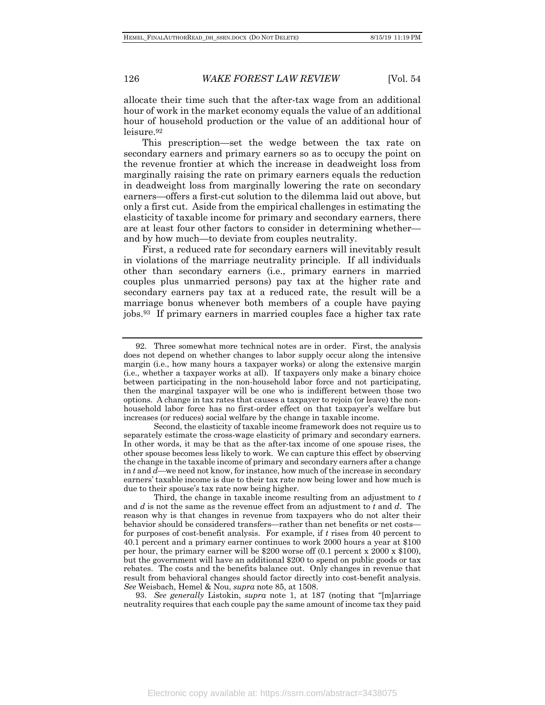allocate their time such that the after-tax wage from an additional hour of work in the market economy equals the value of an additional hour of household production or the value of an additional hour of leisure.92

This prescription—set the wedge between the tax rate on secondary earners and primary earners so as to occupy the point on the revenue frontier at which the increase in deadweight loss from marginally raising the rate on primary earners equals the reduction in deadweight loss from marginally lowering the rate on secondary earners—offers a first-cut solution to the dilemma laid out above, but only a first cut. Aside from the empirical challenges in estimating the elasticity of taxable income for primary and secondary earners, there are at least four other factors to consider in determining whether and by how much—to deviate from couples neutrality.

First, a reduced rate for secondary earners will inevitably result in violations of the marriage neutrality principle. If all individuals other than secondary earners (i.e., primary earners in married couples plus unmarried persons) pay tax at the higher rate and secondary earners pay tax at a reduced rate, the result will be a marriage bonus whenever both members of a couple have paying jobs.93 If primary earners in married couples face a higher tax rate

93. *See generally* Listokin, *supra* note 1, at 187 (noting that "[m]arriage neutrality requires that each couple pay the same amount of income tax they paid

<sup>92.</sup> Three somewhat more technical notes are in order. First, the analysis does not depend on whether changes to labor supply occur along the intensive margin (i.e., how many hours a taxpayer works) or along the extensive margin (i.e., whether a taxpayer works at all). If taxpayers only make a binary choice between participating in the non-household labor force and not participating, then the marginal taxpayer will be one who is indifferent between those two options. A change in tax rates that causes a taxpayer to rejoin (or leave) the nonhousehold labor force has no first-order effect on that taxpayer's welfare but increases (or reduces) social welfare by the change in taxable income.

Second, the elasticity of taxable income framework does not require us to separately estimate the cross-wage elasticity of primary and secondary earners. In other words, it may be that as the after-tax income of one spouse rises, the other spouse becomes less likely to work. We can capture this effect by observing the change in the taxable income of primary and secondary earners after a change in *t* and *d*—we need not know, for instance, how much of the increase in secondary earners' taxable income is due to their tax rate now being lower and how much is due to their spouse's tax rate now being higher.

Third, the change in taxable income resulting from an adjustment to *t* and *d* is not the same as the revenue effect from an adjustment to *t* and *d*. The reason why is that changes in revenue from taxpayers who do not alter their behavior should be considered transfers—rather than net benefits or net costs for purposes of cost-benefit analysis. For example, if *t* rises from 40 percent to 40.1 percent and a primary earner continues to work 2000 hours a year at \$100 per hour, the primary earner will be \$200 worse off (0.1 percent x 2000 x \$100), but the government will have an additional \$200 to spend on public goods or tax rebates. The costs and the benefits balance out. Only changes in revenue that result from behavioral changes should factor directly into cost-benefit analysis. *See* Weisbach, Hemel & Nou, *supra* note 85, at 1508.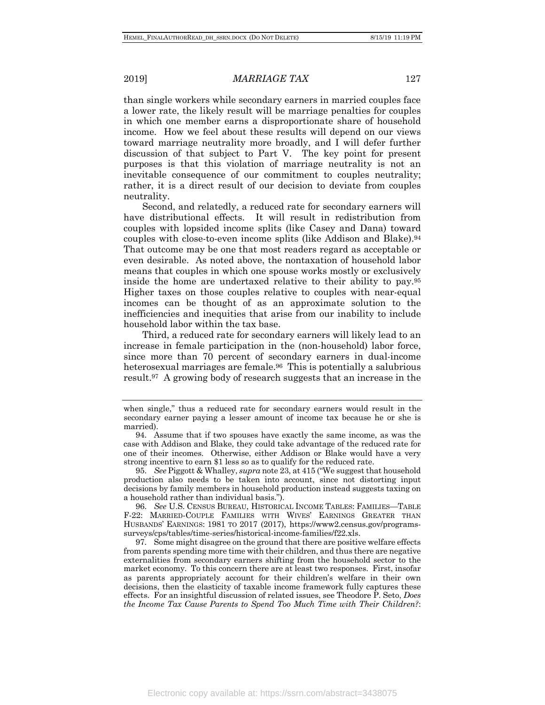than single workers while secondary earners in married couples face a lower rate, the likely result will be marriage penalties for couples in which one member earns a disproportionate share of household income. How we feel about these results will depend on our views toward marriage neutrality more broadly, and I will defer further discussion of that subject to Part V. The key point for present purposes is that this violation of marriage neutrality is not an inevitable consequence of our commitment to couples neutrality; rather, it is a direct result of our decision to deviate from couples neutrality.

Second, and relatedly, a reduced rate for secondary earners will have distributional effects. It will result in redistribution from couples with lopsided income splits (like Casey and Dana) toward couples with close-to-even income splits (like Addison and Blake).94 That outcome may be one that most readers regard as acceptable or even desirable. As noted above, the nontaxation of household labor means that couples in which one spouse works mostly or exclusively inside the home are undertaxed relative to their ability to pay.95 Higher taxes on those couples relative to couples with near-equal incomes can be thought of as an approximate solution to the inefficiencies and inequities that arise from our inability to include household labor within the tax base.

Third, a reduced rate for secondary earners will likely lead to an increase in female participation in the (non-household) labor force, since more than 70 percent of secondary earners in dual-income heterosexual marriages are female.96 This is potentially a salubrious result.97 A growing body of research suggests that an increase in the

95. *See* Piggott & Whalley, *supra* note 23, at 415 ("We suggest that household production also needs to be taken into account, since not distorting input decisions by family members in household production instead suggests taxing on a household rather than individual basis.").

96. *See* U.S. CENSUS BUREAU, HISTORICAL INCOME TABLES: FAMILIES—TABLE F-22: MARRIED-COUPLE FAMILIES WITH WIVES' EARNINGS GREATER THAN HUSBANDS' EARNINGS: 1981 TO 2017 (2017), https://www2.census.gov/programssurveys/cps/tables/time-series/historical-income-families/f22.xls.

97. Some might disagree on the ground that there are positive welfare effects from parents spending more time with their children, and thus there are negative externalities from secondary earners shifting from the household sector to the market economy. To this concern there are at least two responses. First, insofar as parents appropriately account for their children's welfare in their own decisions, then the elasticity of taxable income framework fully captures these effects. For an insightful discussion of related issues, see Theodore P. Seto, *Does the Income Tax Cause Parents to Spend Too Much Time with Their Children?*:

when single," thus a reduced rate for secondary earners would result in the secondary earner paying a lesser amount of income tax because he or she is married).

<sup>94.</sup> Assume that if two spouses have exactly the same income, as was the case with Addison and Blake, they could take advantage of the reduced rate for one of their incomes. Otherwise, either Addison or Blake would have a very strong incentive to earn \$1 less so as to qualify for the reduced rate.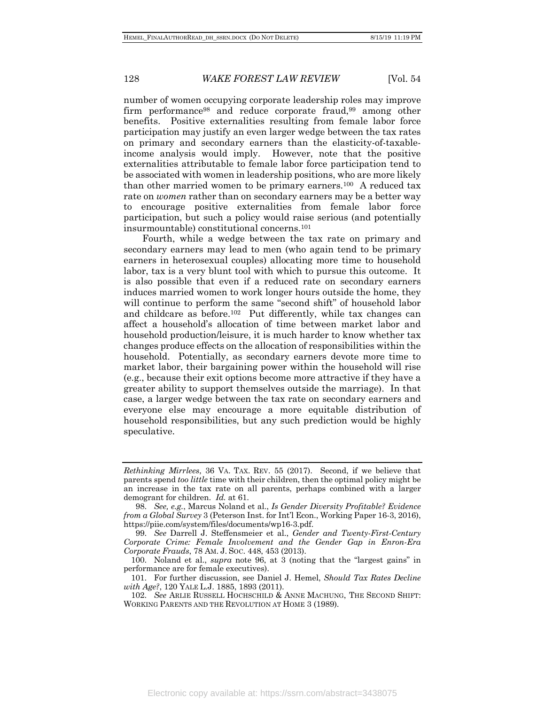number of women occupying corporate leadership roles may improve firm performance98 and reduce corporate fraud,99 among other benefits. Positive externalities resulting from female labor force participation may justify an even larger wedge between the tax rates on primary and secondary earners than the elasticity-of-taxableincome analysis would imply. However, note that the positive externalities attributable to female labor force participation tend to be associated with women in leadership positions, who are more likely than other married women to be primary earners.100 A reduced tax rate on *women* rather than on secondary earners may be a better way to encourage positive externalities from female labor force participation, but such a policy would raise serious (and potentially insurmountable) constitutional concerns.101

Fourth, while a wedge between the tax rate on primary and secondary earners may lead to men (who again tend to be primary earners in heterosexual couples) allocating more time to household labor, tax is a very blunt tool with which to pursue this outcome. It is also possible that even if a reduced rate on secondary earners induces married women to work longer hours outside the home, they will continue to perform the same "second shift" of household labor and childcare as before.102 Put differently, while tax changes can affect a household's allocation of time between market labor and household production/leisure, it is much harder to know whether tax changes produce effects on the allocation of responsibilities within the household. Potentially, as secondary earners devote more time to market labor, their bargaining power within the household will rise (e.g., because their exit options become more attractive if they have a greater ability to support themselves outside the marriage). In that case, a larger wedge between the tax rate on secondary earners and everyone else may encourage a more equitable distribution of household responsibilities, but any such prediction would be highly speculative.

Electronic copy available at: https://ssrn.com/abstract=3438075

*Rethinking Mirrlees*, 36 VA. TAX. REV. 55 (2017). Second, if we believe that parents spend *too little* time with their children, then the optimal policy might be an increase in the tax rate on all parents, perhaps combined with a larger demogrant for children. *Id.* at 61.

<sup>98.</sup> *See, e.g.*, Marcus Noland et al., *Is Gender Diversity Profitable? Evidence from a Global Survey* 3 (Peterson Inst. for Int'l Econ., Working Paper 16-3, 2016), https://piie.com/system/files/documents/wp16-3.pdf.

<sup>99.</sup> *See* Darrell J. Steffensmeier et al., *Gender and Twenty-First-Century Corporate Crime: Female Involvement and the Gender Gap in Enron-Era Corporate Frauds*, 78 AM. J. SOC. 448, 453 (2013).

<sup>100.</sup> Noland et al., *supra* note 96, at 3 (noting that the "largest gains" in performance are for female executives).

<sup>101.</sup> For further discussion, see Daniel J. Hemel, *Should Tax Rates Decline with Age?*, 120 YALE L.J. 1885, 1893 (2011).

<sup>102.</sup> *See* ARLIE RUSSELL HOCHSCHILD & ANNE MACHUNG, THE SECOND SHIFT: WORKING PARENTS AND THE REVOLUTION AT HOME 3 (1989).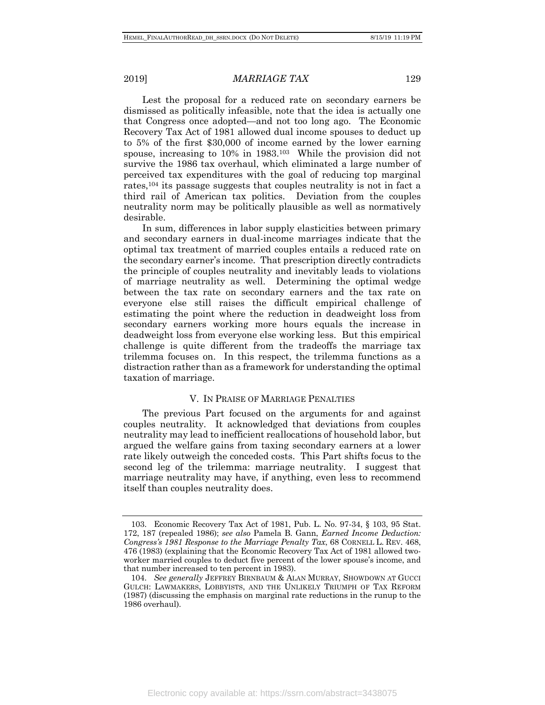Lest the proposal for a reduced rate on secondary earners be dismissed as politically infeasible, note that the idea is actually one that Congress once adopted—and not too long ago. The Economic Recovery Tax Act of 1981 allowed dual income spouses to deduct up to 5% of the first \$30,000 of income earned by the lower earning spouse, increasing to 10% in 1983.103 While the provision did not survive the 1986 tax overhaul, which eliminated a large number of perceived tax expenditures with the goal of reducing top marginal rates,104 its passage suggests that couples neutrality is not in fact a third rail of American tax politics. Deviation from the couples neutrality norm may be politically plausible as well as normatively desirable.

In sum, differences in labor supply elasticities between primary and secondary earners in dual-income marriages indicate that the optimal tax treatment of married couples entails a reduced rate on the secondary earner's income. That prescription directly contradicts the principle of couples neutrality and inevitably leads to violations of marriage neutrality as well. Determining the optimal wedge between the tax rate on secondary earners and the tax rate on everyone else still raises the difficult empirical challenge of estimating the point where the reduction in deadweight loss from secondary earners working more hours equals the increase in deadweight loss from everyone else working less. But this empirical challenge is quite different from the tradeoffs the marriage tax trilemma focuses on. In this respect, the trilemma functions as a distraction rather than as a framework for understanding the optimal taxation of marriage.

#### V. IN PRAISE OF MARRIAGE PENALTIES

The previous Part focused on the arguments for and against couples neutrality. It acknowledged that deviations from couples neutrality may lead to inefficient reallocations of household labor, but argued the welfare gains from taxing secondary earners at a lower rate likely outweigh the conceded costs. This Part shifts focus to the second leg of the trilemma: marriage neutrality. I suggest that marriage neutrality may have, if anything, even less to recommend itself than couples neutrality does.

<sup>103.</sup> Economic Recovery Tax Act of 1981, Pub. L. No. 97-34, § 103, 95 Stat. 172, 187 (repealed 1986); *see also* Pamela B. Gann, *Earned Income Deduction: Congress's 1981 Response to the Marriage Penalty Tax*, 68 CORNELL L. REV. 468, 476 (1983) (explaining that the Economic Recovery Tax Act of 1981 allowed twoworker married couples to deduct five percent of the lower spouse's income, and that number increased to ten percent in 1983).

<sup>104.</sup> *See generally* JEFFREY BIRNBAUM & ALAN MURRAY, SHOWDOWN AT GUCCI GULCH: LAWMAKERS, LOBBYISTS, AND THE UNLIKELY TRIUMPH OF TAX REFORM (1987) (discussing the emphasis on marginal rate reductions in the runup to the 1986 overhaul).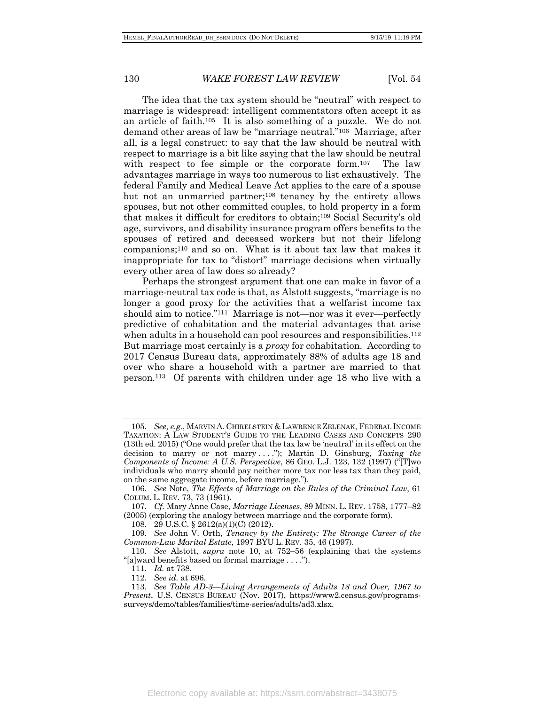The idea that the tax system should be "neutral" with respect to marriage is widespread: intelligent commentators often accept it as an article of faith.105 It is also something of a puzzle. We do not demand other areas of law be "marriage neutral."106 Marriage, after all, is a legal construct: to say that the law should be neutral with respect to marriage is a bit like saying that the law should be neutral with respect to fee simple or the corporate form.<sup>107</sup> The law advantages marriage in ways too numerous to list exhaustively. The federal Family and Medical Leave Act applies to the care of a spouse but not an unmarried partner;108 tenancy by the entirety allows spouses, but not other committed couples, to hold property in a form that makes it difficult for creditors to obtain;109 Social Security's old age, survivors, and disability insurance program offers benefits to the spouses of retired and deceased workers but not their lifelong companions;110 and so on. What is it about tax law that makes it inappropriate for tax to "distort" marriage decisions when virtually every other area of law does so already?

Perhaps the strongest argument that one can make in favor of a marriage-neutral tax code is that, as Alstott suggests, "marriage is no longer a good proxy for the activities that a welfarist income tax should aim to notice."111 Marriage is not—nor was it ever—perfectly predictive of cohabitation and the material advantages that arise when adults in a household can pool resources and responsibilities.<sup>112</sup> But marriage most certainly is a *proxy* for cohabitation. According to 2017 Census Bureau data, approximately 88% of adults age 18 and over who share a household with a partner are married to that person.113 Of parents with children under age 18 who live with a

<sup>105.</sup> *See, e.g.*, MARVIN A. CHIRELSTEIN & LAWRENCE ZELENAK, FEDERAL INCOME TAXATION: A LAW STUDENT'S GUIDE TO THE LEADING CASES AND CONCEPTS 290 (13th ed. 2015) ("One would prefer that the tax law be 'neutral' in its effect on the decision to marry or not marry . . . ."); Martin D. Ginsburg, *Taxing the Components of Income: A U.S. Perspective*, 86 GEO. L.J. 123, 132 (1997) ("[T]wo individuals who marry should pay neither more tax nor less tax than they paid, on the same aggregate income, before marriage.").

<sup>106.</sup> *See* Note, *The Effects of Marriage on the Rules of the Criminal Law*, 61 COLUM. L. REV. 73, 73 (1961).

<sup>107.</sup> *Cf.* Mary Anne Case, *Marriage Licenses*, 89 MINN. L. REV. 1758, 1777–82 (2005) (exploring the analogy between marriage and the corporate form).

<sup>108.</sup> 29 U.S.C. § 2612(a)(1)(C) (2012).

<sup>109.</sup> *See* John V. Orth, *Tenancy by the Entirety: The Strange Career of the Common-Law Marital Estate*, 1997 BYU L. REV. 35, 46 (1997).

<sup>110.</sup> *See* Alstott, *supra* note 10, at 752–56 (explaining that the systems "[a]ward benefits based on formal marriage . . . .").

<sup>111.</sup> *Id.* at 738.

<sup>112.</sup> *See id.* at 696.

<sup>113.</sup> *See Table AD-3—Living Arrangements of Adults 18 and Over, 1967 to Present*, U.S. CENSUS BUREAU (Nov. 2017), https://www2.census.gov/programssurveys/demo/tables/families/time-series/adults/ad3.xlsx.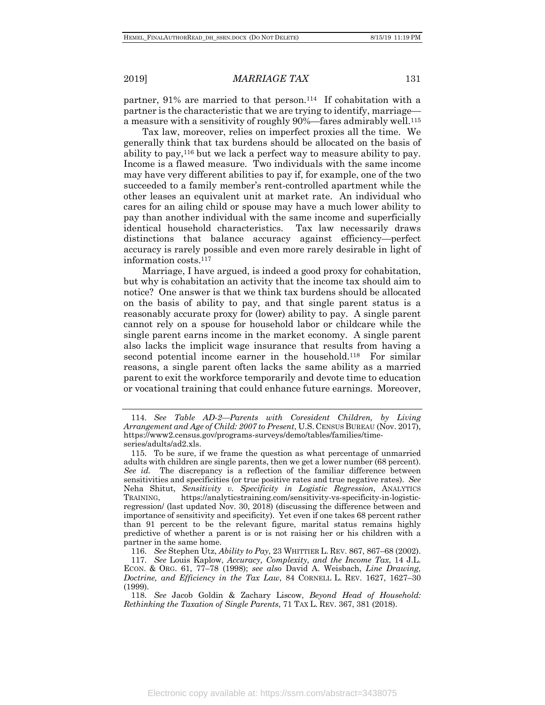partner, 91% are married to that person.114 If cohabitation with a partner is the characteristic that we are trying to identify, marriage a measure with a sensitivity of roughly 90%—fares admirably well.115

Tax law, moreover, relies on imperfect proxies all the time. We generally think that tax burdens should be allocated on the basis of ability to pay,116 but we lack a perfect way to measure ability to pay. Income is a flawed measure. Two individuals with the same income may have very different abilities to pay if, for example, one of the two succeeded to a family member's rent-controlled apartment while the other leases an equivalent unit at market rate. An individual who cares for an ailing child or spouse may have a much lower ability to pay than another individual with the same income and superficially identical household characteristics. Tax law necessarily draws distinctions that balance accuracy against efficiency—perfect accuracy is rarely possible and even more rarely desirable in light of information costs.117

Marriage, I have argued, is indeed a good proxy for cohabitation, but why is cohabitation an activity that the income tax should aim to notice? One answer is that we think tax burdens should be allocated on the basis of ability to pay, and that single parent status is a reasonably accurate proxy for (lower) ability to pay. A single parent cannot rely on a spouse for household labor or childcare while the single parent earns income in the market economy. A single parent also lacks the implicit wage insurance that results from having a second potential income earner in the household.<sup>118</sup> For similar reasons, a single parent often lacks the same ability as a married parent to exit the workforce temporarily and devote time to education or vocational training that could enhance future earnings. Moreover,

116. *See* Stephen Utz, *Ability to Pay*, 23 WHITTIER L. REV. 867, 867–68 (2002).

117. *See* Louis Kaplow, *Accuracy, Complexity, and the Income Tax*, 14 J.L. ECON. & ORG. 61, 77–78 (1998); *see also* David A. Weisbach, *Line Drawing, Doctrine, and Efficiency in the Tax Law*, 84 CORNELL L. REV. 1627, 1627–30 (1999).

<sup>114.</sup> *See Table AD-2—Parents with Coresident Children, by Living Arrangement and Age of Child: 2007 to Present*, U.S. CENSUS BUREAU (Nov. 2017), https://www2.census.gov/programs-surveys/demo/tables/families/timeseries/adults/ad2.xls.

<sup>115.</sup> To be sure, if we frame the question as what percentage of unmarried adults with children are single parents, then we get a lower number (68 percent). *See id.* The discrepancy is a reflection of the familiar difference between sensitivities and specificities (or true positive rates and true negative rates). *See*  Neha Shitut, *Sensitivity v. Specificity in Logistic Regression*, ANALYTICS TRAINING, https://analyticstraining.com/sensitivity-vs-specificity-in-logisticregression/ (last updated Nov. 30, 2018) (discussing the difference between and importance of sensitivity and specificity). Yet even if one takes 68 percent rather than 91 percent to be the relevant figure, marital status remains highly predictive of whether a parent is or is not raising her or his children with a partner in the same home.

<sup>118.</sup> *See* Jacob Goldin & Zachary Liscow, *Beyond Head of Household: Rethinking the Taxation of Single Parents*, 71 TAX L. REV. 367, 381 (2018).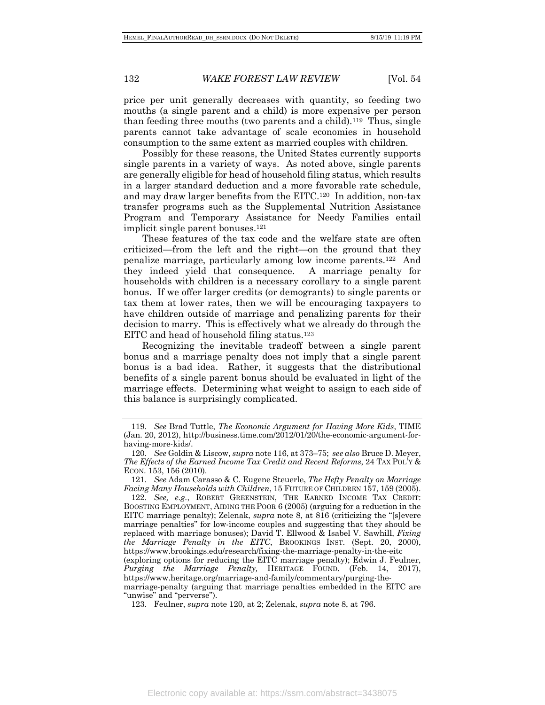price per unit generally decreases with quantity, so feeding two mouths (a single parent and a child) is more expensive per person than feeding three mouths (two parents and a child).119 Thus, single parents cannot take advantage of scale economies in household consumption to the same extent as married couples with children.

Possibly for these reasons, the United States currently supports single parents in a variety of ways. As noted above, single parents are generally eligible for head of household filing status, which results in a larger standard deduction and a more favorable rate schedule, and may draw larger benefits from the EITC.120 In addition, non-tax transfer programs such as the Supplemental Nutrition Assistance Program and Temporary Assistance for Needy Families entail implicit single parent bonuses.121

These features of the tax code and the welfare state are often criticized—from the left and the right—on the ground that they penalize marriage, particularly among low income parents.122 And they indeed yield that consequence. A marriage penalty for households with children is a necessary corollary to a single parent bonus. If we offer larger credits (or demogrants) to single parents or tax them at lower rates, then we will be encouraging taxpayers to have children outside of marriage and penalizing parents for their decision to marry. This is effectively what we already do through the EITC and head of household filing status.123

Recognizing the inevitable tradeoff between a single parent bonus and a marriage penalty does not imply that a single parent bonus is a bad idea. Rather, it suggests that the distributional benefits of a single parent bonus should be evaluated in light of the marriage effects. Determining what weight to assign to each side of this balance is surprisingly complicated.

<sup>119.</sup> *See* Brad Tuttle, *The Economic Argument for Having More Kids*, TIME (Jan. 20, 2012), http://business.time.com/2012/01/20/the-economic-argument-forhaving-more-kids/.

<sup>120.</sup> *See* Goldin & Liscow, *supra* note 116, at 373–75; *see also* Bruce D. Meyer, *The Effects of the Earned Income Tax Credit and Recent Reforms*, 24 TAX POL'Y & ECON. 153, 156 (2010).

<sup>121.</sup> *See* Adam Carasso & C. Eugene Steuerle, *The Hefty Penalty on Marriage Facing Many Households with Children*, 15 FUTURE OF CHILDREN 157, 159 (2005).

<sup>122.</sup> *See, e.g.*, ROBERT GREENSTEIN, THE EARNED INCOME TAX CREDIT: BOOSTING EMPLOYMENT, AIDING THE POOR 6 (2005) (arguing for a reduction in the EITC marriage penalty); Zelenak, *supra* note 8, at 816 (criticizing the "[s]evere marriage penalties" for low-income couples and suggesting that they should be replaced with marriage bonuses); David T. Ellwood & Isabel V. Sawhill, *Fixing the Marriage Penalty in the EITC*, BROOKINGS INST. (Sept. 20, 2000), https://www.brookings.edu/research/fixing-the-marriage-penalty-in-the-eitc

<sup>(</sup>exploring options for reducing the EITC marriage penalty); Edwin J. Feulner, *Purging the Marriage Penalty,* HERITAGE FOUND. (Feb. 14, 2017), https://www.heritage.org/marriage-and-family/commentary/purging-the-

marriage-penalty (arguing that marriage penalties embedded in the EITC are "unwise" and "perverse").

<sup>123.</sup> Feulner, *supra* note 120, at 2; Zelenak, *supra* note 8, at 796.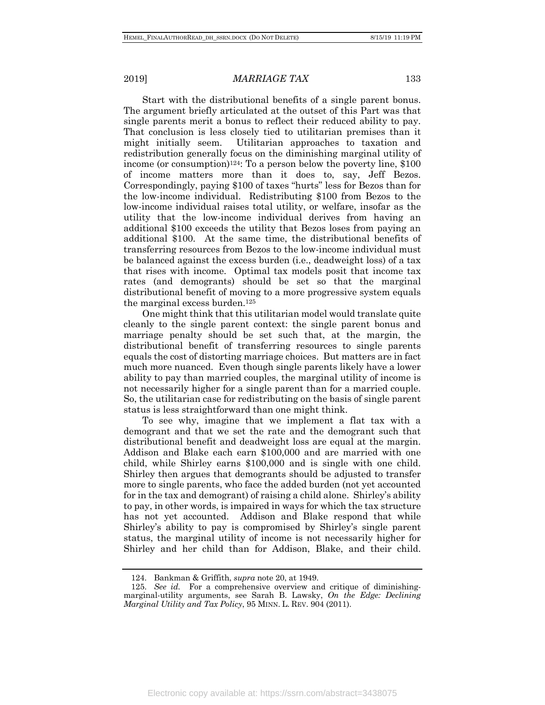Start with the distributional benefits of a single parent bonus. The argument briefly articulated at the outset of this Part was that single parents merit a bonus to reflect their reduced ability to pay. That conclusion is less closely tied to utilitarian premises than it might initially seem. Utilitarian approaches to taxation and redistribution generally focus on the diminishing marginal utility of income (or consumption)124: To a person below the poverty line, \$100 of income matters more than it does to, say, Jeff Bezos. Correspondingly, paying \$100 of taxes "hurts" less for Bezos than for the low-income individual. Redistributing \$100 from Bezos to the low-income individual raises total utility, or welfare, insofar as the utility that the low-income individual derives from having an additional \$100 exceeds the utility that Bezos loses from paying an additional \$100. At the same time, the distributional benefits of transferring resources from Bezos to the low-income individual must be balanced against the excess burden (i.e., deadweight loss) of a tax that rises with income. Optimal tax models posit that income tax rates (and demogrants) should be set so that the marginal distributional benefit of moving to a more progressive system equals the marginal excess burden.125

One might think that this utilitarian model would translate quite cleanly to the single parent context: the single parent bonus and marriage penalty should be set such that, at the margin, the distributional benefit of transferring resources to single parents equals the cost of distorting marriage choices. But matters are in fact much more nuanced. Even though single parents likely have a lower ability to pay than married couples, the marginal utility of income is not necessarily higher for a single parent than for a married couple. So, the utilitarian case for redistributing on the basis of single parent status is less straightforward than one might think.

To see why, imagine that we implement a flat tax with a demogrant and that we set the rate and the demogrant such that distributional benefit and deadweight loss are equal at the margin. Addison and Blake each earn \$100,000 and are married with one child, while Shirley earns \$100,000 and is single with one child. Shirley then argues that demogrants should be adjusted to transfer more to single parents, who face the added burden (not yet accounted for in the tax and demogrant) of raising a child alone. Shirley's ability to pay, in other words, is impaired in ways for which the tax structure has not yet accounted. Addison and Blake respond that while Shirley's ability to pay is compromised by Shirley's single parent status, the marginal utility of income is not necessarily higher for Shirley and her child than for Addison, Blake, and their child.

<sup>124.</sup> Bankman & Griffith, *supra* note 20, at 1949.

<sup>125.</sup> *See id.* For a comprehensive overview and critique of diminishingmarginal-utility arguments, see Sarah B. Lawsky, *On the Edge: Declining Marginal Utility and Tax Policy*, 95 MINN. L. REV. 904 (2011).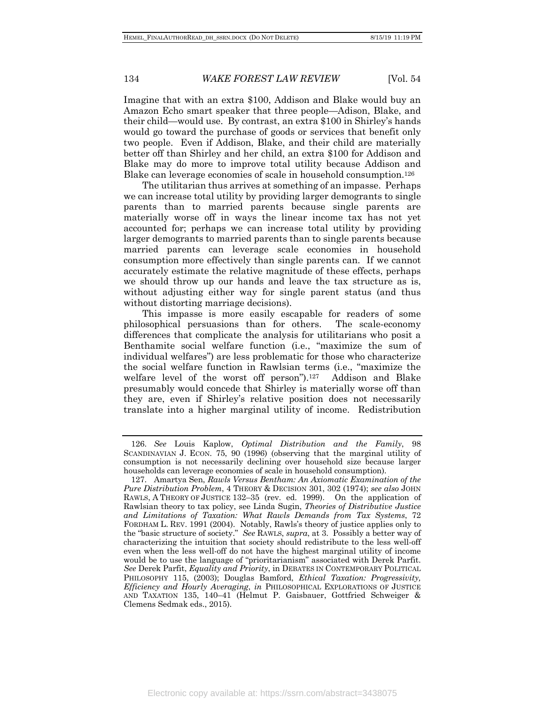Imagine that with an extra \$100, Addison and Blake would buy an Amazon Echo smart speaker that three people—Adison, Blake, and their child—would use. By contrast, an extra \$100 in Shirley's hands would go toward the purchase of goods or services that benefit only two people. Even if Addison, Blake, and their child are materially better off than Shirley and her child, an extra \$100 for Addison and Blake may do more to improve total utility because Addison and Blake can leverage economies of scale in household consumption.126

The utilitarian thus arrives at something of an impasse. Perhaps we can increase total utility by providing larger demogrants to single parents than to married parents because single parents are materially worse off in ways the linear income tax has not yet accounted for; perhaps we can increase total utility by providing larger demogrants to married parents than to single parents because married parents can leverage scale economies in household consumption more effectively than single parents can. If we cannot accurately estimate the relative magnitude of these effects, perhaps we should throw up our hands and leave the tax structure as is, without adjusting either way for single parent status (and thus without distorting marriage decisions).

This impasse is more easily escapable for readers of some philosophical persuasions than for others. The scale-economy differences that complicate the analysis for utilitarians who posit a Benthamite social welfare function (i.e., "maximize the sum of individual welfares") are less problematic for those who characterize the social welfare function in Rawlsian terms (i.e., "maximize the welfare level of the worst off person").127 Addison and Blake presumably would concede that Shirley is materially worse off than they are, even if Shirley's relative position does not necessarily translate into a higher marginal utility of income. Redistribution

Electronic copy available at: https://ssrn.com/abstract=3438075

<sup>126.</sup> *See* Louis Kaplow, *Optimal Distribution and the Family*, 98 SCANDINAVIAN J. ECON. 75, 90 (1996) (observing that the marginal utility of consumption is not necessarily declining over household size because larger households can leverage economies of scale in household consumption).

<sup>127.</sup> Amartya Sen, *Rawls Versus Bentham: An Axiomatic Examination of the Pure Distribution Problem*, 4 THEORY & DECISION 301, 302 (1974); *see also* JOHN RAWLS, A THEORY OF JUSTICE 132–35 (rev. ed. 1999). On the application of Rawlsian theory to tax policy, see Linda Sugin, *Theories of Distributive Justice and Limitations of Taxation: What Rawls Demands from Tax Systems*, 72 FORDHAM L. REV. 1991 (2004). Notably, Rawls's theory of justice applies only to the "basic structure of society." *See* RAWLS, *supra*, at 3. Possibly a better way of characterizing the intuition that society should redistribute to the less well-off even when the less well-off do not have the highest marginal utility of income would be to use the language of "prioritarianism" associated with Derek Parfit. *See* Derek Parfit, *Equality and Priority*, in DEBATES IN CONTEMPORARY POLITICAL PHILOSOPHY 115, (2003); Douglas Bamford, *Ethical Taxation: Progressivity, Efficiency and Hourly Averaging*, *in* PHILOSOPHICAL EXPLORATIONS OF JUSTICE AND TAXATION 135, 140–41 (Helmut P. Gaisbauer, Gottfried Schweiger & Clemens Sedmak eds., 2015).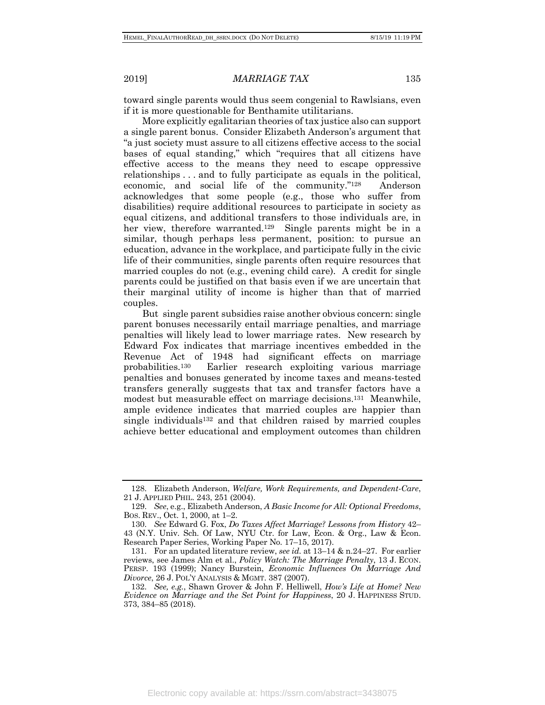toward single parents would thus seem congenial to Rawlsians, even if it is more questionable for Benthamite utilitarians.

More explicitly egalitarian theories of tax justice also can support a single parent bonus. Consider Elizabeth Anderson's argument that "a just society must assure to all citizens effective access to the social bases of equal standing," which "requires that all citizens have effective access to the means they need to escape oppressive relationships . . . and to fully participate as equals in the political, economic, and social life of the community."128 Anderson acknowledges that some people (e.g., those who suffer from disabilities) require additional resources to participate in society as equal citizens, and additional transfers to those individuals are, in her view, therefore warranted.<sup>129</sup> Single parents might be in a similar, though perhaps less permanent, position: to pursue an education, advance in the workplace, and participate fully in the civic life of their communities, single parents often require resources that married couples do not (e.g., evening child care). A credit for single parents could be justified on that basis even if we are uncertain that their marginal utility of income is higher than that of married couples.

But single parent subsidies raise another obvious concern: single parent bonuses necessarily entail marriage penalties, and marriage penalties will likely lead to lower marriage rates. New research by Edward Fox indicates that marriage incentives embedded in the Revenue Act of 1948 had significant effects on marriage probabilities.130 Earlier research exploiting various marriage penalties and bonuses generated by income taxes and means-tested transfers generally suggests that tax and transfer factors have a modest but measurable effect on marriage decisions.131 Meanwhile, ample evidence indicates that married couples are happier than single individuals132 and that children raised by married couples achieve better educational and employment outcomes than children

<sup>128.</sup> Elizabeth Anderson, *Welfare, Work Requirements, and Dependent-Care*, 21 J. APPLIED PHIL. 243, 251 (2004).

<sup>129.</sup> *See*, e.g., Elizabeth Anderson, *A Basic Income for All: Optional Freedoms*, BOS. REV., Oct. 1, 2000, at 1–2.

<sup>130.</sup> *See* Edward G. Fox, *Do Taxes Affect Marriage? Lessons from History* 42– 43 (N.Y. Univ. Sch. Of Law, NYU Ctr. for Law, Econ. & Org., Law & Econ. Research Paper Series, Working Paper No. 17–15, 2017).

<sup>131.</sup> For an updated literature review, *see id.* at 13–14 & n.24–27. For earlier reviews, see James Alm et al., *Policy Watch: The Marriage Penalty*, 13 J. ECON. PERSP. 193 (1999); Nancy Burstein, *Economic Influences On Marriage And Divorce*, 26 J. POL'Y ANALYSIS & MGMT. 387 (2007).

<sup>132.</sup> *See, e.g.*, Shawn Grover & John F. Helliwell, *How's Life at Home? New Evidence on Marriage and the Set Point for Happiness*, 20 J. HAPPINESS STUD. 373, 384–85 (2018).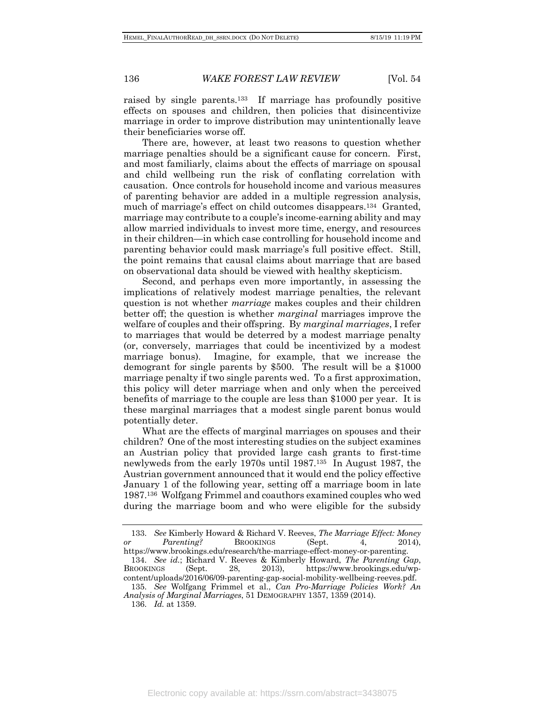raised by single parents.133 If marriage has profoundly positive effects on spouses and children, then policies that disincentivize marriage in order to improve distribution may unintentionally leave their beneficiaries worse off.

There are, however, at least two reasons to question whether marriage penalties should be a significant cause for concern. First, and most familiarly, claims about the effects of marriage on spousal and child wellbeing run the risk of conflating correlation with causation. Once controls for household income and various measures of parenting behavior are added in a multiple regression analysis, much of marriage's effect on child outcomes disappears.134 Granted, marriage may contribute to a couple's income-earning ability and may allow married individuals to invest more time, energy, and resources in their children—in which case controlling for household income and parenting behavior could mask marriage's full positive effect. Still, the point remains that causal claims about marriage that are based on observational data should be viewed with healthy skepticism.

Second, and perhaps even more importantly, in assessing the implications of relatively modest marriage penalties, the relevant question is not whether *marriage* makes couples and their children better off; the question is whether *marginal* marriages improve the welfare of couples and their offspring. By *marginal marriages*, I refer to marriages that would be deterred by a modest marriage penalty (or, conversely, marriages that could be incentivized by a modest marriage bonus). Imagine, for example, that we increase the demogrant for single parents by \$500. The result will be a \$1000 marriage penalty if two single parents wed. To a first approximation, this policy will deter marriage when and only when the perceived benefits of marriage to the couple are less than \$1000 per year. It is these marginal marriages that a modest single parent bonus would potentially deter.

What are the effects of marginal marriages on spouses and their children? One of the most interesting studies on the subject examines an Austrian policy that provided large cash grants to first-time newlyweds from the early 1970s until 1987.135 In August 1987, the Austrian government announced that it would end the policy effective January 1 of the following year, setting off a marriage boom in late 1987.136 Wolfgang Frimmel and coauthors examined couples who wed during the marriage boom and who were eligible for the subsidy

BROOKINGS (Sept. 28, 2013), https://www.brookings.edu/wpcontent/uploads/2016/06/09-parenting-gap-social-mobility-wellbeing-reeves.pdf.

<sup>133.</sup> *See* Kimberly Howard & Richard V. Reeves, *The Marriage Effect: Money or Parenting?* BROOKINGS (Sept. 4, 2014), https://www.brookings.edu/research/the-marriage-effect-money-or-parenting. 134. *See id.*; Richard V. Reeves & Kimberly Howard, *The Parenting Gap*,

<sup>135.</sup> *See* Wolfgang Frimmel et al., *Can Pro-Marriage Policies Work? An Analysis of Marginal Marriages*, 51 DEMOGRAPHY 1357, 1359 (2014).

<sup>136.</sup> *Id.* at 1359.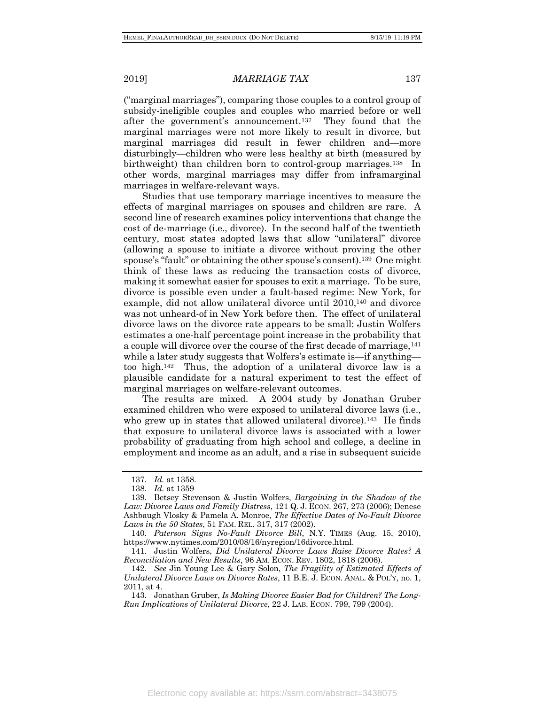("marginal marriages"), comparing those couples to a control group of subsidy-ineligible couples and couples who married before or well after the government's announcement.137 They found that the marginal marriages were not more likely to result in divorce, but marginal marriages did result in fewer children and—more disturbingly—children who were less healthy at birth (measured by birthweight) than children born to control-group marriages.138 In other words, marginal marriages may differ from inframarginal marriages in welfare-relevant ways.

Studies that use temporary marriage incentives to measure the effects of marginal marriages on spouses and children are rare. A second line of research examines policy interventions that change the cost of de-marriage (i.e., divorce). In the second half of the twentieth century, most states adopted laws that allow "unilateral" divorce (allowing a spouse to initiate a divorce without proving the other spouse's "fault" or obtaining the other spouse's consent).139 One might think of these laws as reducing the transaction costs of divorce, making it somewhat easier for spouses to exit a marriage. To be sure, divorce is possible even under a fault-based regime: New York, for example, did not allow unilateral divorce until 2010,140 and divorce was not unheard-of in New York before then. The effect of unilateral divorce laws on the divorce rate appears to be small: Justin Wolfers estimates a one-half percentage point increase in the probability that a couple will divorce over the course of the first decade of marriage, <sup>141</sup> while a later study suggests that Wolfers's estimate is—if anything too high.142 Thus, the adoption of a unilateral divorce law is a plausible candidate for a natural experiment to test the effect of marginal marriages on welfare-relevant outcomes.

The results are mixed. A 2004 study by Jonathan Gruber examined children who were exposed to unilateral divorce laws (i.e., who grew up in states that allowed unilateral divorce).<sup>143</sup> He finds that exposure to unilateral divorce laws is associated with a lower probability of graduating from high school and college, a decline in employment and income as an adult, and a rise in subsequent suicide

<sup>137.</sup> *Id.* at 1358.

<sup>138.</sup> *Id.* at 1359

<sup>139.</sup> Betsey Stevenson & Justin Wolfers, *Bargaining in the Shadow of the Law: Divorce Laws and Family Distress*, 121 Q. J. ECON. 267, 273 (2006); Denese Ashbaugh Vlosky & Pamela A. Monroe, *The Effective Dates of No-Fault Divorce Laws in the 50 States*, 51 FAM. REL. 317, 317 (2002).

<sup>140.</sup> *Paterson Signs No-Fault Divorce Bill*, N.Y. TIMES (Aug. 15, 2010), https://www.nytimes.com/2010/08/16/nyregion/16divorce.html.

<sup>141.</sup> Justin Wolfers, *Did Unilateral Divorce Laws Raise Divorce Rates? A Reconciliation and New Results*, 96 AM. ECON. REV. 1802, 1818 (2006).

<sup>142.</sup> *See* Jin Young Lee & Gary Solon, *The Fragility of Estimated Effects of Unilateral Divorce Laws on Divorce Rates*, 11 B.E. J. ECON. ANAL. & POL'Y, no. 1, 2011, at 4.

<sup>143.</sup> Jonathan Gruber, *Is Making Divorce Easier Bad for Children? The Long-Run Implications of Unilateral Divorce*, 22 J. LAB. ECON. 799, 799 (2004).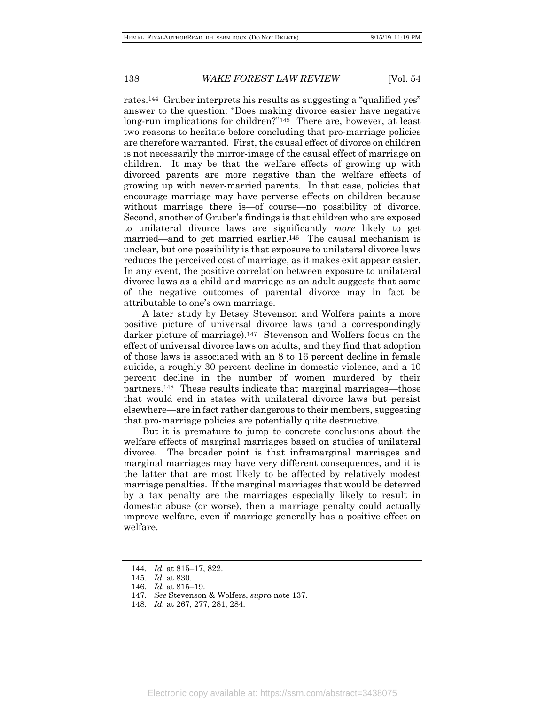rates.144 Gruber interprets his results as suggesting a "qualified yes" answer to the question: "Does making divorce easier have negative long-run implications for children?"<sup>145</sup> There are, however, at least two reasons to hesitate before concluding that pro-marriage policies are therefore warranted. First, the causal effect of divorce on children is not necessarily the mirror-image of the causal effect of marriage on children. It may be that the welfare effects of growing up with divorced parents are more negative than the welfare effects of growing up with never-married parents. In that case, policies that encourage marriage may have perverse effects on children because without marriage there is—of course—no possibility of divorce. Second, another of Gruber's findings is that children who are exposed to unilateral divorce laws are significantly *more* likely to get married—and to get married earlier.<sup>146</sup> The causal mechanism is unclear, but one possibility is that exposure to unilateral divorce laws reduces the perceived cost of marriage, as it makes exit appear easier. In any event, the positive correlation between exposure to unilateral divorce laws as a child and marriage as an adult suggests that some of the negative outcomes of parental divorce may in fact be attributable to one's own marriage.

A later study by Betsey Stevenson and Wolfers paints a more positive picture of universal divorce laws (and a correspondingly darker picture of marriage).<sup>147</sup> Stevenson and Wolfers focus on the effect of universal divorce laws on adults, and they find that adoption of those laws is associated with an 8 to 16 percent decline in female suicide, a roughly 30 percent decline in domestic violence, and a 10 percent decline in the number of women murdered by their partners.148 These results indicate that marginal marriages—those that would end in states with unilateral divorce laws but persist elsewhere—are in fact rather dangerous to their members, suggesting that pro-marriage policies are potentially quite destructive.

But it is premature to jump to concrete conclusions about the welfare effects of marginal marriages based on studies of unilateral divorce. The broader point is that inframarginal marriages and marginal marriages may have very different consequences, and it is the latter that are most likely to be affected by relatively modest marriage penalties. If the marginal marriages that would be deterred by a tax penalty are the marriages especially likely to result in domestic abuse (or worse), then a marriage penalty could actually improve welfare, even if marriage generally has a positive effect on welfare.

<sup>144.</sup> *Id.* at 815–17, 822.

<sup>145.</sup> *Id.* at 830.

<sup>146.</sup> *Id.* at 815–19.

<sup>147.</sup> *See* Stevenson & Wolfers, *supra* note 137.

<sup>148.</sup> *Id.* at 267, 277, 281, 284.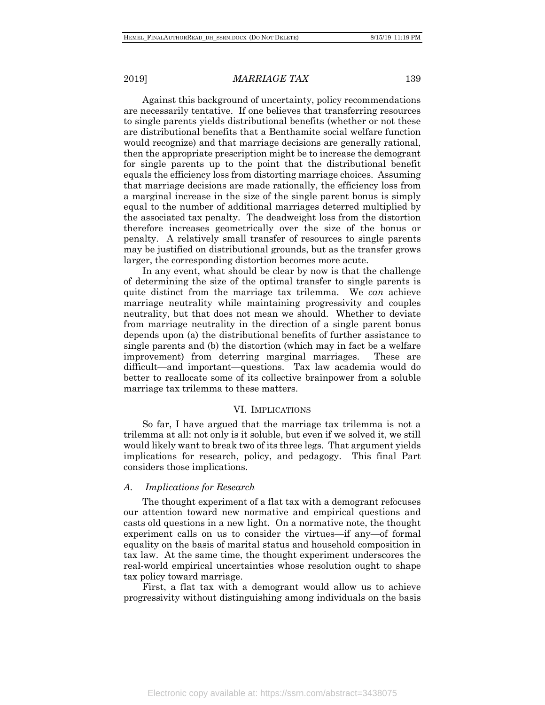Against this background of uncertainty, policy recommendations are necessarily tentative. If one believes that transferring resources to single parents yields distributional benefits (whether or not these are distributional benefits that a Benthamite social welfare function would recognize) and that marriage decisions are generally rational, then the appropriate prescription might be to increase the demogrant for single parents up to the point that the distributional benefit equals the efficiency loss from distorting marriage choices. Assuming that marriage decisions are made rationally, the efficiency loss from a marginal increase in the size of the single parent bonus is simply equal to the number of additional marriages deterred multiplied by the associated tax penalty. The deadweight loss from the distortion therefore increases geometrically over the size of the bonus or penalty. A relatively small transfer of resources to single parents may be justified on distributional grounds, but as the transfer grows larger, the corresponding distortion becomes more acute.

In any event, what should be clear by now is that the challenge of determining the size of the optimal transfer to single parents is quite distinct from the marriage tax trilemma. We *can* achieve marriage neutrality while maintaining progressivity and couples neutrality, but that does not mean we should. Whether to deviate from marriage neutrality in the direction of a single parent bonus depends upon (a) the distributional benefits of further assistance to single parents and (b) the distortion (which may in fact be a welfare improvement) from deterring marginal marriages. These are difficult—and important—questions. Tax law academia would do better to reallocate some of its collective brainpower from a soluble marriage tax trilemma to these matters.

#### VI. IMPLICATIONS

So far, I have argued that the marriage tax trilemma is not a trilemma at all: not only is it soluble, but even if we solved it, we still would likely want to break two of its three legs. That argument yields implications for research, policy, and pedagogy. This final Part considers those implications.

#### *A. Implications for Research*

The thought experiment of a flat tax with a demogrant refocuses our attention toward new normative and empirical questions and casts old questions in a new light. On a normative note, the thought experiment calls on us to consider the virtues—if any—of formal equality on the basis of marital status and household composition in tax law. At the same time, the thought experiment underscores the real-world empirical uncertainties whose resolution ought to shape tax policy toward marriage.

First, a flat tax with a demogrant would allow us to achieve progressivity without distinguishing among individuals on the basis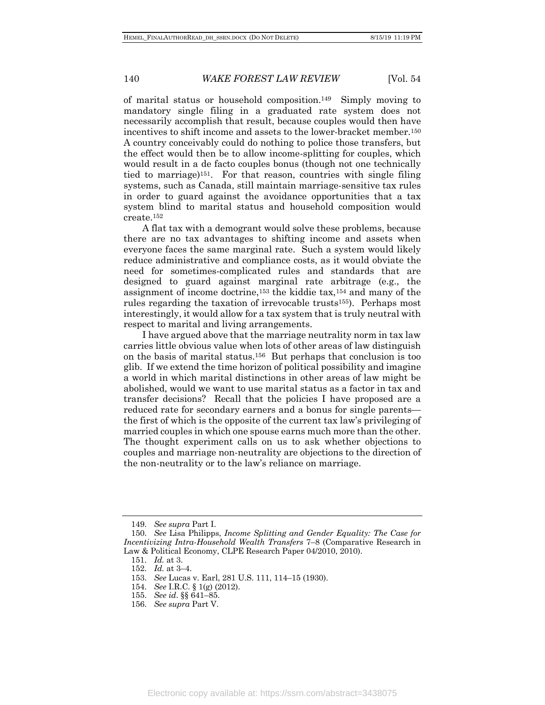of marital status or household composition.149 Simply moving to mandatory single filing in a graduated rate system does not necessarily accomplish that result, because couples would then have incentives to shift income and assets to the lower-bracket member.150 A country conceivably could do nothing to police those transfers, but the effect would then be to allow income-splitting for couples, which would result in a de facto couples bonus (though not one technically tied to marriage)151. For that reason, countries with single filing systems, such as Canada, still maintain marriage-sensitive tax rules in order to guard against the avoidance opportunities that a tax system blind to marital status and household composition would create.152

A flat tax with a demogrant would solve these problems, because there are no tax advantages to shifting income and assets when everyone faces the same marginal rate. Such a system would likely reduce administrative and compliance costs, as it would obviate the need for sometimes-complicated rules and standards that are designed to guard against marginal rate arbitrage (e.g., the assignment of income doctrine,153 the kiddie tax,154 and many of the rules regarding the taxation of irrevocable trusts155). Perhaps most interestingly, it would allow for a tax system that is truly neutral with respect to marital and living arrangements.

I have argued above that the marriage neutrality norm in tax law carries little obvious value when lots of other areas of law distinguish on the basis of marital status.156 But perhaps that conclusion is too glib. If we extend the time horizon of political possibility and imagine a world in which marital distinctions in other areas of law might be abolished, would we want to use marital status as a factor in tax and transfer decisions? Recall that the policies I have proposed are a reduced rate for secondary earners and a bonus for single parents the first of which is the opposite of the current tax law's privileging of married couples in which one spouse earns much more than the other. The thought experiment calls on us to ask whether objections to couples and marriage non-neutrality are objections to the direction of the non-neutrality or to the law's reliance on marriage.

<sup>149.</sup> *See supra* Part I.

<sup>150.</sup> *See* Lisa Philipps, *Income Splitting and Gender Equality: The Case for Incentivizing Intra-Household Wealth Transfers* 7–8 (Comparative Research in Law & Political Economy, CLPE Research Paper 04/2010, 2010).

<sup>151.</sup> *Id.* at 3.

<sup>152.</sup> *Id.* at 3–4.

<sup>153.</sup> *See* Lucas v. Earl, 281 U.S. 111, 114–15 (1930).

<sup>154.</sup> *See* I.R.C. § 1(g) (2012).

<sup>155.</sup> *See id*. §§ 641–85.

<sup>156.</sup> *See supra* Part V.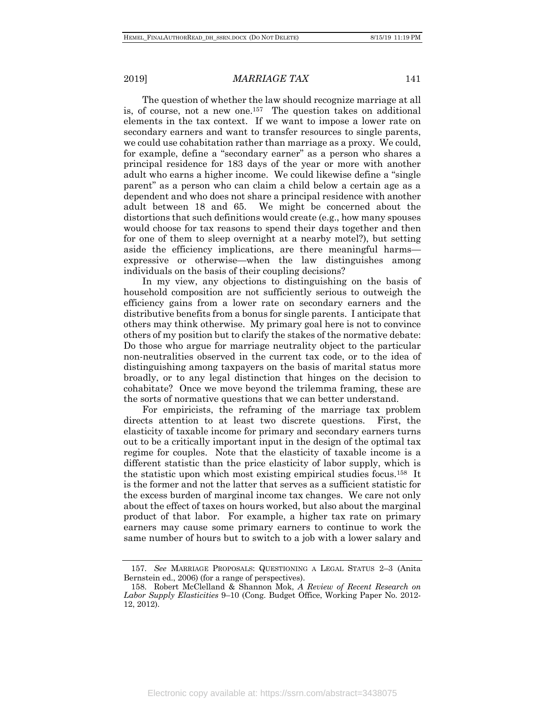The question of whether the law should recognize marriage at all is, of course, not a new one.157 The question takes on additional elements in the tax context. If we want to impose a lower rate on secondary earners and want to transfer resources to single parents, we could use cohabitation rather than marriage as a proxy. We could, for example, define a "secondary earner" as a person who shares a principal residence for 183 days of the year or more with another adult who earns a higher income. We could likewise define a "single parent" as a person who can claim a child below a certain age as a dependent and who does not share a principal residence with another adult between 18 and 65. We might be concerned about the distortions that such definitions would create (e.g., how many spouses would choose for tax reasons to spend their days together and then for one of them to sleep overnight at a nearby motel?), but setting aside the efficiency implications, are there meaningful harms expressive or otherwise—when the law distinguishes among individuals on the basis of their coupling decisions?

In my view, any objections to distinguishing on the basis of household composition are not sufficiently serious to outweigh the efficiency gains from a lower rate on secondary earners and the distributive benefits from a bonus for single parents. I anticipate that others may think otherwise. My primary goal here is not to convince others of my position but to clarify the stakes of the normative debate: Do those who argue for marriage neutrality object to the particular non-neutralities observed in the current tax code, or to the idea of distinguishing among taxpayers on the basis of marital status more broadly, or to any legal distinction that hinges on the decision to cohabitate? Once we move beyond the trilemma framing, these are the sorts of normative questions that we can better understand.

For empiricists, the reframing of the marriage tax problem directs attention to at least two discrete questions. First, the elasticity of taxable income for primary and secondary earners turns out to be a critically important input in the design of the optimal tax regime for couples. Note that the elasticity of taxable income is a different statistic than the price elasticity of labor supply, which is the statistic upon which most existing empirical studies focus.158 It is the former and not the latter that serves as a sufficient statistic for the excess burden of marginal income tax changes. We care not only about the effect of taxes on hours worked, but also about the marginal product of that labor. For example, a higher tax rate on primary earners may cause some primary earners to continue to work the same number of hours but to switch to a job with a lower salary and

<sup>157.</sup> *See* MARRIAGE PROPOSALS: QUESTIONING A LEGAL STATUS 2–3 (Anita Bernstein ed., 2006) (for a range of perspectives).

<sup>158.</sup> Robert McClelland & Shannon Mok, *A Review of Recent Research on Labor Supply Elasticities* 9–10 (Cong. Budget Office, Working Paper No. 2012- 12, 2012).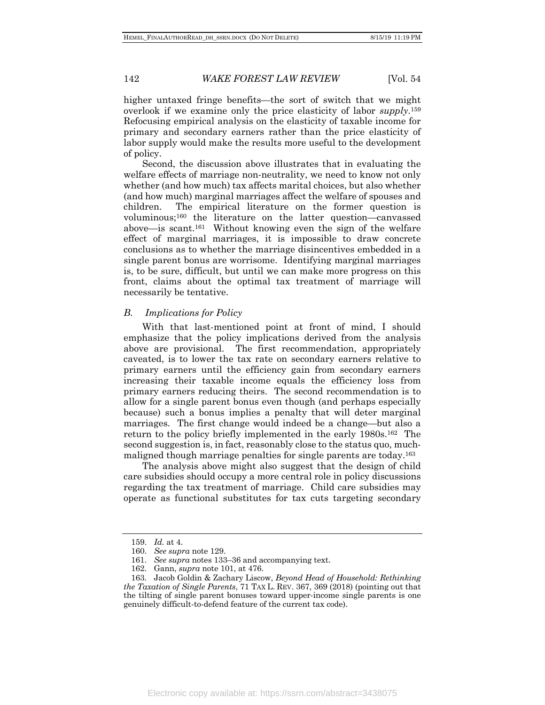higher untaxed fringe benefits—the sort of switch that we might overlook if we examine only the price elasticity of labor *supply*.159 Refocusing empirical analysis on the elasticity of taxable income for primary and secondary earners rather than the price elasticity of labor supply would make the results more useful to the development of policy.

Second, the discussion above illustrates that in evaluating the welfare effects of marriage non-neutrality, we need to know not only whether (and how much) tax affects marital choices, but also whether (and how much) marginal marriages affect the welfare of spouses and children. The empirical literature on the former question is voluminous;160 the literature on the latter question—canvassed above—is scant.161 Without knowing even the sign of the welfare effect of marginal marriages, it is impossible to draw concrete conclusions as to whether the marriage disincentives embedded in a single parent bonus are worrisome. Identifying marginal marriages is, to be sure, difficult, but until we can make more progress on this front, claims about the optimal tax treatment of marriage will necessarily be tentative.

#### *B. Implications for Policy*

With that last-mentioned point at front of mind, I should emphasize that the policy implications derived from the analysis above are provisional. The first recommendation, appropriately caveated, is to lower the tax rate on secondary earners relative to primary earners until the efficiency gain from secondary earners increasing their taxable income equals the efficiency loss from primary earners reducing theirs. The second recommendation is to allow for a single parent bonus even though (and perhaps especially because) such a bonus implies a penalty that will deter marginal marriages. The first change would indeed be a change—but also a return to the policy briefly implemented in the early 1980s.162 The second suggestion is, in fact, reasonably close to the status quo, muchmaligned though marriage penalties for single parents are today.163

The analysis above might also suggest that the design of child care subsidies should occupy a more central role in policy discussions regarding the tax treatment of marriage. Child care subsidies may operate as functional substitutes for tax cuts targeting secondary

<sup>159.</sup> *Id.* at 4.

<sup>160.</sup> *See supra* note 129.

<sup>161.</sup> *See supra* notes 133–36 and accompanying text.

<sup>162.</sup> Gann, *supra* note 101, at 476.

<sup>163.</sup> Jacob Goldin & Zachary Liscow, *Beyond Head of Household: Rethinking the Taxation of Single Parents*, 71 TAX L. REV. 367, 369 (2018) (pointing out that the tilting of single parent bonuses toward upper-income single parents is one genuinely difficult-to-defend feature of the current tax code).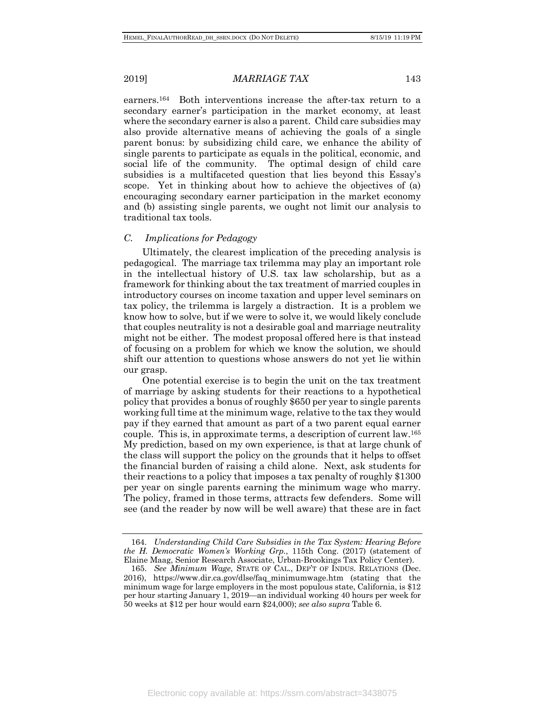earners.164 Both interventions increase the after-tax return to a secondary earner's participation in the market economy, at least where the secondary earner is also a parent. Child care subsidies may also provide alternative means of achieving the goals of a single parent bonus: by subsidizing child care, we enhance the ability of single parents to participate as equals in the political, economic, and social life of the community. The optimal design of child care subsidies is a multifaceted question that lies beyond this Essay's scope. Yet in thinking about how to achieve the objectives of (a) encouraging secondary earner participation in the market economy and (b) assisting single parents, we ought not limit our analysis to traditional tax tools.

#### *C. Implications for Pedagogy*

Ultimately, the clearest implication of the preceding analysis is pedagogical. The marriage tax trilemma may play an important role in the intellectual history of U.S. tax law scholarship, but as a framework for thinking about the tax treatment of married couples in introductory courses on income taxation and upper level seminars on tax policy, the trilemma is largely a distraction. It is a problem we know how to solve, but if we were to solve it, we would likely conclude that couples neutrality is not a desirable goal and marriage neutrality might not be either. The modest proposal offered here is that instead of focusing on a problem for which we know the solution, we should shift our attention to questions whose answers do not yet lie within our grasp.

One potential exercise is to begin the unit on the tax treatment of marriage by asking students for their reactions to a hypothetical policy that provides a bonus of roughly \$650 per year to single parents working full time at the minimum wage, relative to the tax they would pay if they earned that amount as part of a two parent equal earner couple. This is, in approximate terms, a description of current law.165 My prediction, based on my own experience, is that at large chunk of the class will support the policy on the grounds that it helps to offset the financial burden of raising a child alone. Next, ask students for their reactions to a policy that imposes a tax penalty of roughly \$1300 per year on single parents earning the minimum wage who marry. The policy, framed in those terms, attracts few defenders. Some will see (and the reader by now will be well aware) that these are in fact

<sup>164.</sup> *Understanding Child Care Subsidies in the Tax System: Hearing Before the H. Democratic Women's Working Grp.*, 115th Cong. (2017) (statement of Elaine Maag, Senior Research Associate, Urban-Brookings Tax Policy Center).

<sup>165.</sup> *See Minimum Wage*, STATE OF CAL., DEP'T OF INDUS. RELATIONS (Dec. 2016), https://www.dir.ca.gov/dlse/faq\_minimumwage.htm (stating that the minimum wage for large employers in the most populous state, California, is \$12 per hour starting January 1, 2019—an individual working 40 hours per week for 50 weeks at \$12 per hour would earn \$24,000); *see also supra* Table 6.